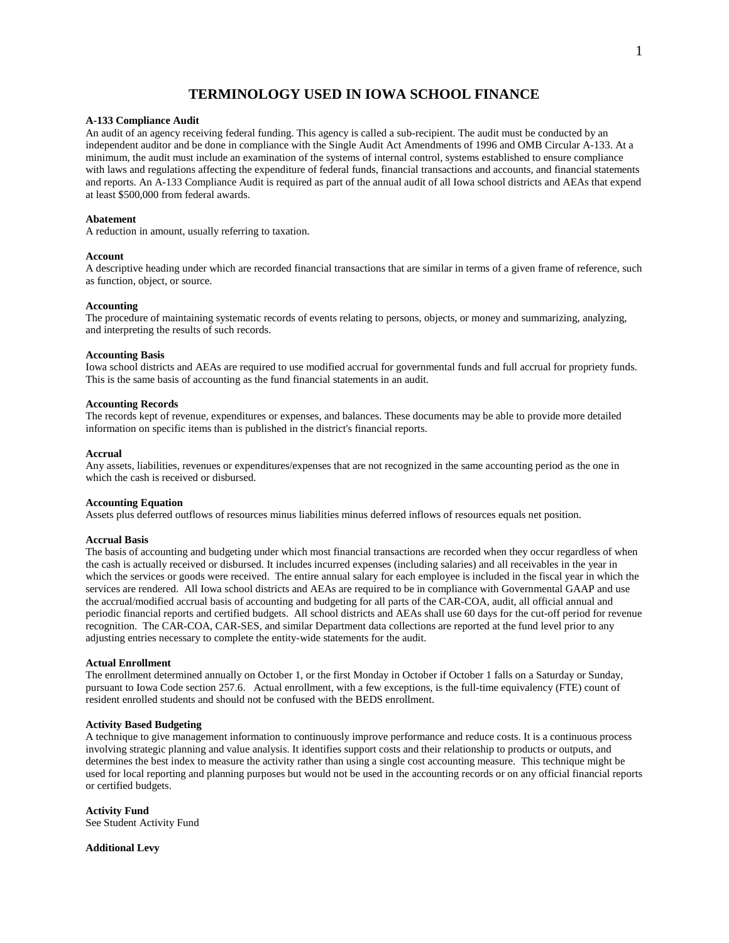# **TERMINOLOGY USED IN IOWA SCHOOL FINANCE**

## **A-133 Compliance Audit**

An audit of an agency receiving federal funding. This agency is called a sub-recipient. The audit must be conducted by an independent auditor and be done in compliance with the Single Audit Act Amendments of 1996 and OMB Circular A-133. At a minimum, the audit must include an examination of the systems of internal control, systems established to ensure compliance with laws and regulations affecting the expenditure of federal funds, financial transactions and accounts, and financial statements and reports. An A-133 Compliance Audit is required as part of the annual audit of all Iowa school districts and AEAs that expend at least \$500,000 from federal awards.

## **Abatement**

A reduction in amount, usually referring to taxation.

#### **Account**

A descriptive heading under which are recorded financial transactions that are similar in terms of a given frame of reference, such as function, object, or source.

## **Accounting**

The procedure of maintaining systematic records of events relating to persons, objects, or money and summarizing, analyzing, and interpreting the results of such records.

#### **Accounting Basis**

Iowa school districts and AEAs are required to use modified accrual for governmental funds and full accrual for propriety funds. This is the same basis of accounting as the fund financial statements in an audit.

## **Accounting Records**

The records kept of revenue, expenditures or expenses, and balances. These documents may be able to provide more detailed information on specific items than is published in the district's financial reports.

#### **Accrual**

Any assets, liabilities, revenues or expenditures/expenses that are not recognized in the same accounting period as the one in which the cash is received or disbursed.

## **Accounting Equation**

Assets plus deferred outflows of resources minus liabilities minus deferred inflows of resources equals net position.

## **Accrual Basis**

The basis of accounting and budgeting under which most financial transactions are recorded when they occur regardless of when the cash is actually received or disbursed. It includes incurred expenses (including salaries) and all receivables in the year in which the services or goods were received. The entire annual salary for each employee is included in the fiscal year in which the services are rendered. All Iowa school districts and AEAs are required to be in compliance with Governmental GAAP and use the accrual/modified accrual basis of accounting and budgeting for all parts of the CAR-COA, audit, all official annual and periodic financial reports and certified budgets. All school districts and AEAs shall use 60 days for the cut-off period for revenue recognition. The CAR-COA, CAR-SES, and similar Department data collections are reported at the fund level prior to any adjusting entries necessary to complete the entity-wide statements for the audit.

### **Actual Enrollment**

The enrollment determined annually on October 1, or the first Monday in October if October 1 falls on a Saturday or Sunday, pursuant to Iowa Code section 257.6. Actual enrollment, with a few exceptions, is the full-time equivalency (FTE) count of resident enrolled students and should not be confused with the BEDS enrollment.

# **Activity Based Budgeting**

A technique to give management information to continuously improve performance and reduce costs. It is a continuous process involving strategic planning and value analysis. It identifies support costs and their relationship to products or outputs, and determines the best index to measure the activity rather than using a single cost accounting measure. This technique might be used for local reporting and planning purposes but would not be used in the accounting records or on any official financial reports or certified budgets.

## **Activity Fund**

See Student Activity Fund

**Additional Levy**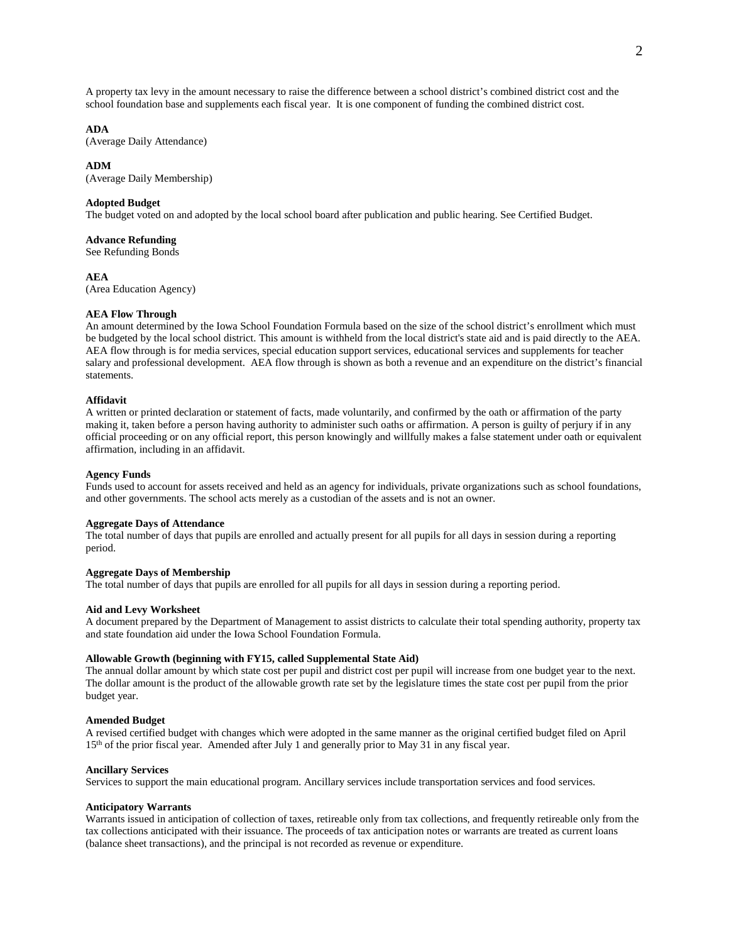A property tax levy in the amount necessary to raise the difference between a school district's combined district cost and the school foundation base and supplements each fiscal year. It is one component of funding the combined district cost.

# **ADA**

(Average Daily Attendance)

#### **ADM**

(Average Daily Membership)

## **Adopted Budget**

The budget voted on and adopted by the local school board after publication and public hearing. See Certified Budget.

## **Advance Refunding**

See Refunding Bonds

#### **AEA**

(Area Education Agency)

## **AEA Flow Through**

An amount determined by the Iowa School Foundation Formula based on the size of the school district's enrollment which must be budgeted by the local school district. This amount is withheld from the local district's state aid and is paid directly to the AEA. AEA flow through is for media services, special education support services, educational services and supplements for teacher salary and professional development. AEA flow through is shown as both a revenue and an expenditure on the district's financial statements.

## **Affidavit**

A written or printed declaration or statement of facts, made voluntarily, and confirmed by the oath or affirmation of the party making it, taken before a person having authority to administer such oaths or affirmation. A person is guilty of perjury if in any official proceeding or on any official report, this person knowingly and willfully makes a false statement under oath or equivalent affirmation, including in an affidavit.

#### **Agency Funds**

Funds used to account for assets received and held as an agency for individuals, private organizations such as school foundations, and other governments. The school acts merely as a custodian of the assets and is not an owner.

## **Aggregate Days of Attendance**

The total number of days that pupils are enrolled and actually present for all pupils for all days in session during a reporting period.

## **Aggregate Days of Membership**

The total number of days that pupils are enrolled for all pupils for all days in session during a reporting period.

## **Aid and Levy Worksheet**

A document prepared by the Department of Management to assist districts to calculate their total spending authority, property tax and state foundation aid under the Iowa School Foundation Formula.

### **Allowable Growth (beginning with FY15, called Supplemental State Aid)**

The annual dollar amount by which state cost per pupil and district cost per pupil will increase from one budget year to the next. The dollar amount is the product of the allowable growth rate set by the legislature times the state cost per pupil from the prior budget year.

## **Amended Budget**

A revised certified budget with changes which were adopted in the same manner as the original certified budget filed on April 15th of the prior fiscal year. Amended after July 1 and generally prior to May 31 in any fiscal year.

#### **Ancillary Services**

Services to support the main educational program. Ancillary services include transportation services and food services.

#### **Anticipatory Warrants**

Warrants issued in anticipation of collection of taxes, retireable only from tax collections, and frequently retireable only from the tax collections anticipated with their issuance. The proceeds of tax anticipation notes or warrants are treated as current loans (balance sheet transactions), and the principal is not recorded as revenue or expenditure.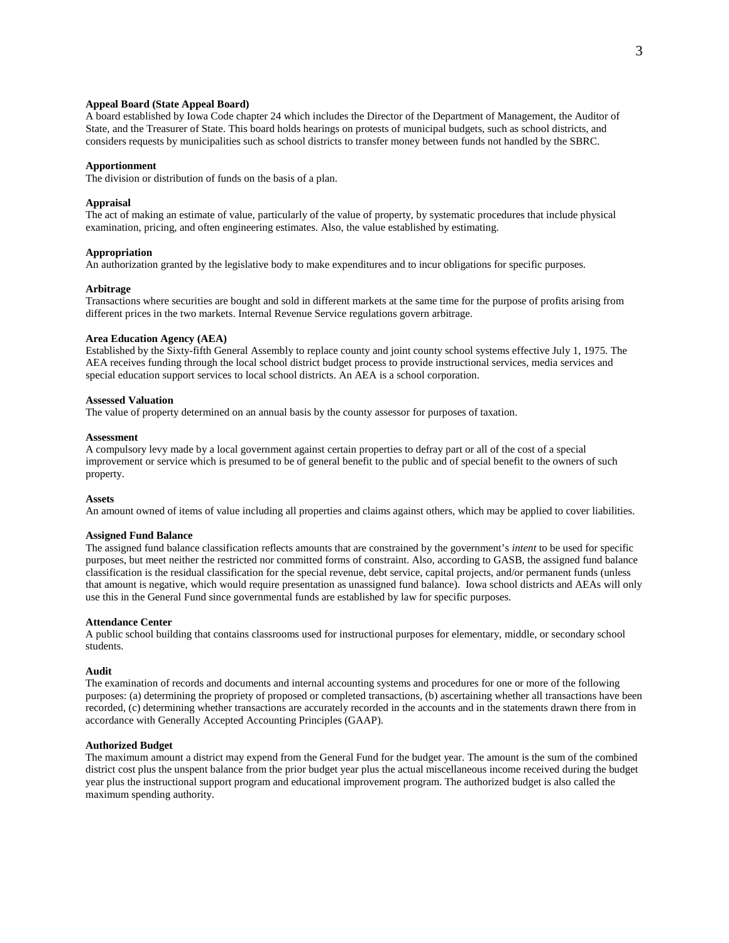## **Appeal Board (State Appeal Board)**

A board established by Iowa Code chapter 24 which includes the Director of the Department of Management, the Auditor of State, and the Treasurer of State. This board holds hearings on protests of municipal budgets, such as school districts, and considers requests by municipalities such as school districts to transfer money between funds not handled by the SBRC.

## **Apportionment**

The division or distribution of funds on the basis of a plan.

## **Appraisal**

The act of making an estimate of value, particularly of the value of property, by systematic procedures that include physical examination, pricing, and often engineering estimates. Also, the value established by estimating.

### **Appropriation**

An authorization granted by the legislative body to make expenditures and to incur obligations for specific purposes.

### **Arbitrage**

Transactions where securities are bought and sold in different markets at the same time for the purpose of profits arising from different prices in the two markets. Internal Revenue Service regulations govern arbitrage.

#### **Area Education Agency (AEA)**

Established by the Sixty-fifth General Assembly to replace county and joint county school systems effective July 1, 1975. The AEA receives funding through the local school district budget process to provide instructional services, media services and special education support services to local school districts. An AEA is a school corporation.

# **Assessed Valuation**

The value of property determined on an annual basis by the county assessor for purposes of taxation.

## **Assessment**

A compulsory levy made by a local government against certain properties to defray part or all of the cost of a special improvement or service which is presumed to be of general benefit to the public and of special benefit to the owners of such property.

### **Assets**

An amount owned of items of value including all properties and claims against others, which may be applied to cover liabilities.

## **Assigned Fund Balance**

The assigned fund balance classification reflects amounts that are constrained by the government's *intent* to be used for specific purposes, but meet neither the restricted nor committed forms of constraint. Also, according to GASB, the assigned fund balance classification is the residual classification for the special revenue, debt service, capital projects, and/or permanent funds (unless that amount is negative, which would require presentation as unassigned fund balance). Iowa school districts and AEAs will only use this in the General Fund since governmental funds are established by law for specific purposes.

#### **Attendance Center**

A public school building that contains classrooms used for instructional purposes for elementary, middle, or secondary school students.

#### **Audit**

The examination of records and documents and internal accounting systems and procedures for one or more of the following purposes: (a) determining the propriety of proposed or completed transactions, (b) ascertaining whether all transactions have been recorded, (c) determining whether transactions are accurately recorded in the accounts and in the statements drawn there from in accordance with Generally Accepted Accounting Principles (GAAP).

## **Authorized Budget**

The maximum amount a district may expend from the General Fund for the budget year. The amount is the sum of the combined district cost plus the unspent balance from the prior budget year plus the actual miscellaneous income received during the budget year plus the instructional support program and educational improvement program. The authorized budget is also called the maximum spending authority.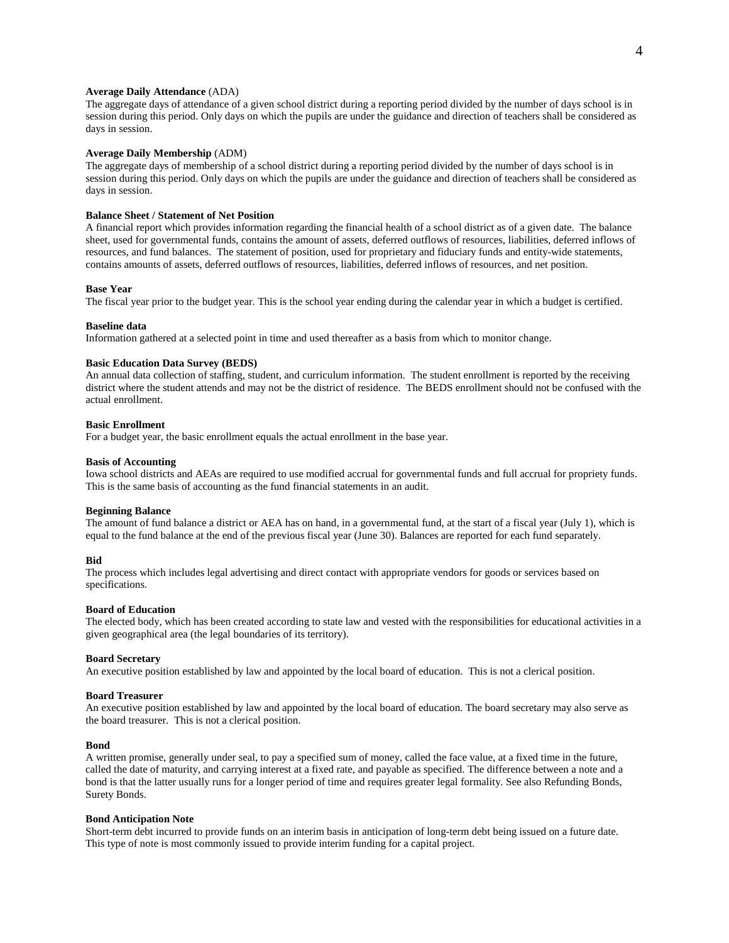# **Average Daily Attendance** (ADA)

The aggregate days of attendance of a given school district during a reporting period divided by the number of days school is in session during this period. Only days on which the pupils are under the guidance and direction of teachers shall be considered as days in session.

### **Average Daily Membership** (ADM)

The aggregate days of membership of a school district during a reporting period divided by the number of days school is in session during this period. Only days on which the pupils are under the guidance and direction of teachers shall be considered as days in session.

# **Balance Sheet / Statement of Net Position**

A financial report which provides information regarding the financial health of a school district as of a given date. The balance sheet, used for governmental funds, contains the amount of assets, deferred outflows of resources, liabilities, deferred inflows of resources, and fund balances. The statement of position, used for proprietary and fiduciary funds and entity-wide statements, contains amounts of assets, deferred outflows of resources, liabilities, deferred inflows of resources, and net position.

### **Base Year**

The fiscal year prior to the budget year. This is the school year ending during the calendar year in which a budget is certified.

#### **Baseline data**

Information gathered at a selected point in time and used thereafter as a basis from which to monitor change.

#### **Basic Education Data Survey (BEDS)**

An annual data collection of staffing, student, and curriculum information. The student enrollment is reported by the receiving district where the student attends and may not be the district of residence. The BEDS enrollment should not be confused with the actual enrollment.

## **Basic Enrollment**

For a budget year, the basic enrollment equals the actual enrollment in the base year.

#### **Basis of Accounting**

Iowa school districts and AEAs are required to use modified accrual for governmental funds and full accrual for propriety funds. This is the same basis of accounting as the fund financial statements in an audit.

#### **Beginning Balance**

The amount of fund balance a district or AEA has on hand, in a governmental fund, at the start of a fiscal year (July 1), which is equal to the fund balance at the end of the previous fiscal year (June 30). Balances are reported for each fund separately.

### **Bid**

The process which includes legal advertising and direct contact with appropriate vendors for goods or services based on specifications.

# **Board of Education**

The elected body, which has been created according to state law and vested with the responsibilities for educational activities in a given geographical area (the legal boundaries of its territory).

#### **Board Secretary**

An executive position established by law and appointed by the local board of education. This is not a clerical position.

#### **Board Treasurer**

An executive position established by law and appointed by the local board of education. The board secretary may also serve as the board treasurer. This is not a clerical position.

## **Bond**

A written promise, generally under seal, to pay a specified sum of money, called the face value, at a fixed time in the future, called the date of maturity, and carrying interest at a fixed rate, and payable as specified. The difference between a note and a bond is that the latter usually runs for a longer period of time and requires greater legal formality. See also Refunding Bonds, Surety Bonds.

### **Bond Anticipation Note**

Short-term debt incurred to provide funds on an interim basis in anticipation of long-term debt being issued on a future date. This type of note is most commonly issued to provide interim funding for a capital project.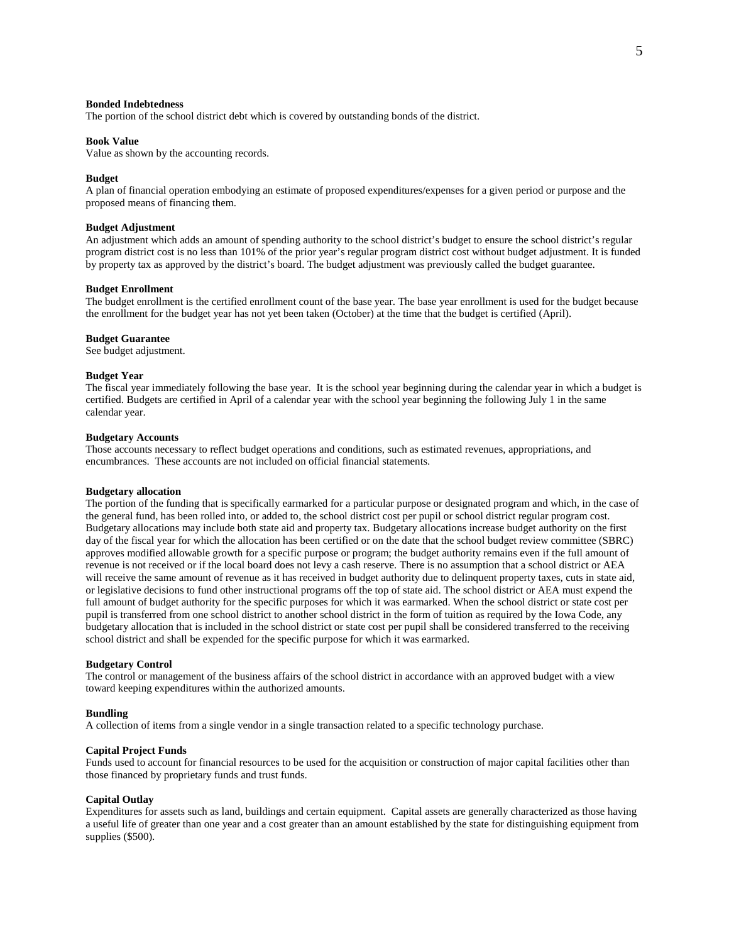#### **Bonded Indebtedness**

The portion of the school district debt which is covered by outstanding bonds of the district.

## **Book Value**

Value as shown by the accounting records.

#### **Budget**

A plan of financial operation embodying an estimate of proposed expenditures/expenses for a given period or purpose and the proposed means of financing them.

## **Budget Adjustment**

An adjustment which adds an amount of spending authority to the school district's budget to ensure the school district's regular program district cost is no less than 101% of the prior year's regular program district cost without budget adjustment. It is funded by property tax as approved by the district's board. The budget adjustment was previously called the budget guarantee.

## **Budget Enrollment**

The budget enrollment is the certified enrollment count of the base year. The base year enrollment is used for the budget because the enrollment for the budget year has not yet been taken (October) at the time that the budget is certified (April).

#### **Budget Guarantee**

See budget adjustment.

#### **Budget Year**

The fiscal year immediately following the base year. It is the school year beginning during the calendar year in which a budget is certified. Budgets are certified in April of a calendar year with the school year beginning the following July 1 in the same calendar year.

## **Budgetary Accounts**

Those accounts necessary to reflect budget operations and conditions, such as estimated revenues, appropriations, and encumbrances. These accounts are not included on official financial statements.

#### **Budgetary allocation**

The portion of the funding that is specifically earmarked for a particular purpose or designated program and which, in the case of the general fund, has been rolled into, or added to, the school district cost per pupil or school district regular program cost. Budgetary allocations may include both state aid and property tax. Budgetary allocations increase budget authority on the first day of the fiscal year for which the allocation has been certified or on the date that the school budget review committee (SBRC) approves modified allowable growth for a specific purpose or program; the budget authority remains even if the full amount of revenue is not received or if the local board does not levy a cash reserve. There is no assumption that a school district or AEA will receive the same amount of revenue as it has received in budget authority due to delinquent property taxes, cuts in state aid, or legislative decisions to fund other instructional programs off the top of state aid. The school district or AEA must expend the full amount of budget authority for the specific purposes for which it was earmarked. When the school district or state cost per pupil is transferred from one school district to another school district in the form of tuition as required by the Iowa Code, any budgetary allocation that is included in the school district or state cost per pupil shall be considered transferred to the receiving school district and shall be expended for the specific purpose for which it was earmarked.

#### **Budgetary Control**

The control or management of the business affairs of the school district in accordance with an approved budget with a view toward keeping expenditures within the authorized amounts.

#### **Bundling**

A collection of items from a single vendor in a single transaction related to a specific technology purchase.

### **Capital Project Funds**

Funds used to account for financial resources to be used for the acquisition or construction of major capital facilities other than those financed by proprietary funds and trust funds.

#### **Capital Outlay**

Expenditures for assets such as land, buildings and certain equipment. Capital assets are generally characterized as those having a useful life of greater than one year and a cost greater than an amount established by the state for distinguishing equipment from supplies (\$500).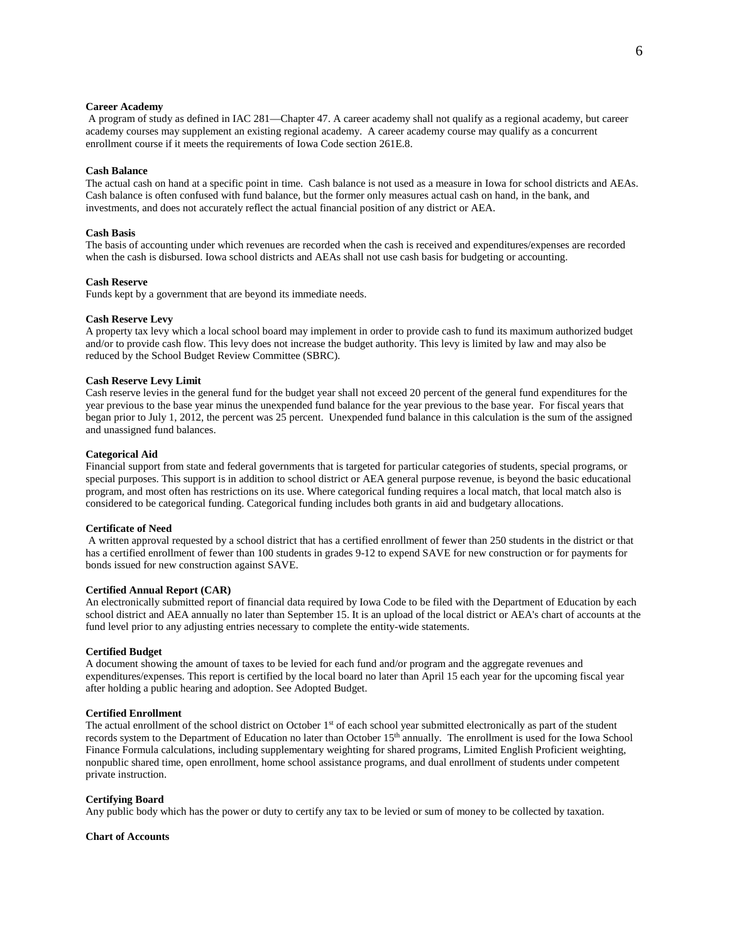## **Career Academy**

A program of study as defined in IAC 281—Chapter 47. A career academy shall not qualify as a regional academy, but career academy courses may supplement an existing regional academy. A career academy course may qualify as a concurrent enrollment course if it meets the requirements of Iowa Code section 261E.8.

## **Cash Balance**

The actual cash on hand at a specific point in time. Cash balance is not used as a measure in Iowa for school districts and AEAs. Cash balance is often confused with fund balance, but the former only measures actual cash on hand, in the bank, and investments, and does not accurately reflect the actual financial position of any district or AEA.

### **Cash Basis**

The basis of accounting under which revenues are recorded when the cash is received and expenditures/expenses are recorded when the cash is disbursed. Iowa school districts and AEAs shall not use cash basis for budgeting or accounting.

#### **Cash Reserve**

Funds kept by a government that are beyond its immediate needs.

#### **Cash Reserve Levy**

A property tax levy which a local school board may implement in order to provide cash to fund its maximum authorized budget and/or to provide cash flow. This levy does not increase the budget authority. This levy is limited by law and may also be reduced by the School Budget Review Committee (SBRC).

## **Cash Reserve Levy Limit**

Cash reserve levies in the general fund for the budget year shall not exceed 20 percent of the general fund expenditures for the year previous to the base year minus the unexpended fund balance for the year previous to the base year. For fiscal years that began prior to July 1, 2012, the percent was 25 percent. Unexpended fund balance in this calculation is the sum of the assigned and unassigned fund balances.

#### **Categorical Aid**

Financial support from state and federal governments that is targeted for particular categories of students, special programs, or special purposes. This support is in addition to school district or AEA general purpose revenue, is beyond the basic educational program, and most often has restrictions on its use. Where categorical funding requires a local match, that local match also is considered to be categorical funding. Categorical funding includes both grants in aid and budgetary allocations.

## **Certificate of Need**

A written approval requested by a school district that has a certified enrollment of fewer than 250 students in the district or that has a certified enrollment of fewer than 100 students in grades 9-12 to expend SAVE for new construction or for payments for bonds issued for new construction against SAVE.

## **Certified Annual Report (CAR)**

An electronically submitted report of financial data required by Iowa Code to be filed with the Department of Education by each school district and AEA annually no later than September 15. It is an upload of the local district or AEA's chart of accounts at the fund level prior to any adjusting entries necessary to complete the entity-wide statements.

#### **Certified Budget**

A document showing the amount of taxes to be levied for each fund and/or program and the aggregate revenues and expenditures/expenses. This report is certified by the local board no later than April 15 each year for the upcoming fiscal year after holding a public hearing and adoption. See Adopted Budget.

## **Certified Enrollment**

The actual enrollment of the school district on October  $1<sup>st</sup>$  of each school year submitted electronically as part of the student records system to the Department of Education no later than October 15<sup>th</sup> annually. The enrollment is used for the Iowa School Finance Formula calculations, including supplementary weighting for shared programs, Limited English Proficient weighting, nonpublic shared time, open enrollment, home school assistance programs, and dual enrollment of students under competent private instruction.

#### **Certifying Board**

Any public body which has the power or duty to certify any tax to be levied or sum of money to be collected by taxation.

## **Chart of Accounts**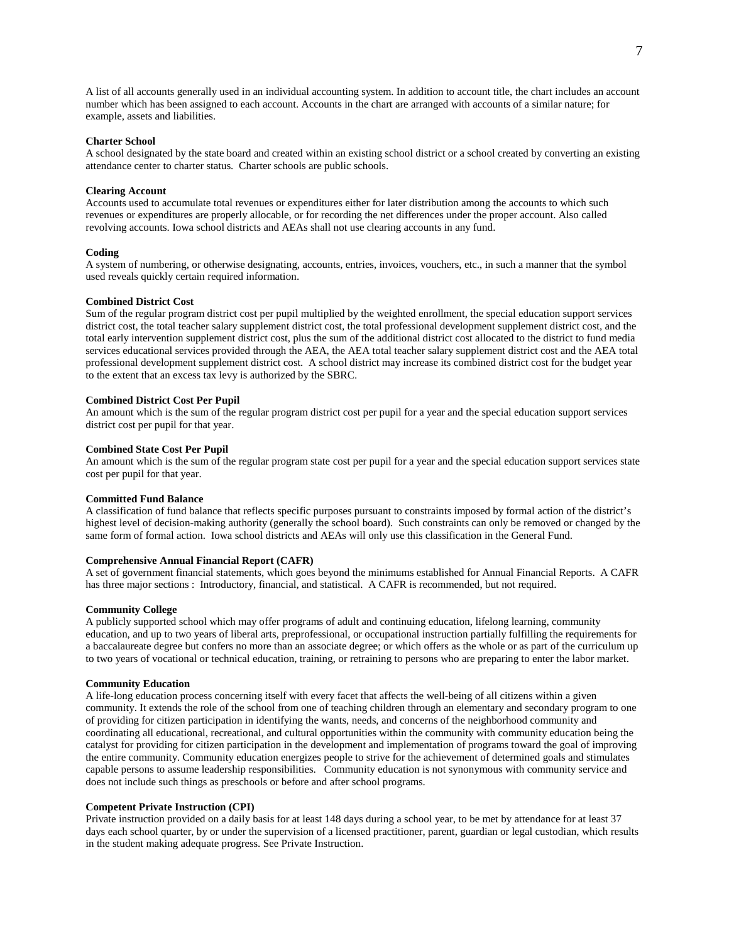A list of all accounts generally used in an individual accounting system. In addition to account title, the chart includes an account number which has been assigned to each account. Accounts in the chart are arranged with accounts of a similar nature; for example, assets and liabilities.

#### **Charter School**

A school designated by the state board and created within an existing school district or a school created by converting an existing attendance center to charter status. Charter schools are public schools.

#### **Clearing Account**

Accounts used to accumulate total revenues or expenditures either for later distribution among the accounts to which such revenues or expenditures are properly allocable, or for recording the net differences under the proper account. Also called revolving accounts. Iowa school districts and AEAs shall not use clearing accounts in any fund.

#### **Coding**

A system of numbering, or otherwise designating, accounts, entries, invoices, vouchers, etc., in such a manner that the symbol used reveals quickly certain required information.

## **Combined District Cost**

Sum of the regular program district cost per pupil multiplied by the weighted enrollment, the special education support services district cost, the total teacher salary supplement district cost, the total professional development supplement district cost, and the total early intervention supplement district cost, plus the sum of the additional district cost allocated to the district to fund media services educational services provided through the AEA, the AEA total teacher salary supplement district cost and the AEA total professional development supplement district cost. A school district may increase its combined district cost for the budget year to the extent that an excess tax levy is authorized by the SBRC.

## **Combined District Cost Per Pupil**

An amount which is the sum of the regular program district cost per pupil for a year and the special education support services district cost per pupil for that year.

### **Combined State Cost Per Pupil**

An amount which is the sum of the regular program state cost per pupil for a year and the special education support services state cost per pupil for that year.

#### **Committed Fund Balance**

A classification of fund balance that reflects specific purposes pursuant to constraints imposed by formal action of the district's highest level of decision-making authority (generally the school board). Such constraints can only be removed or changed by the same form of formal action. Iowa school districts and AEAs will only use this classification in the General Fund.

## **Comprehensive Annual Financial Report (CAFR)**

A set o[f government financial statements,](http://en.wikipedia.org/wiki/Government_financial_statements) which goes beyond the minimums established for Annual Financial Reports. A CAFR has three major sections : Introductory, financial, and statistical. A CAFR is recommended, but not required.

## **Community College**

A publicly supported school which may offer programs of adult and continuing education, lifelong learning, community education, and up to two years of liberal arts, preprofessional, or occupational instruction partially fulfilling the requirements for a baccalaureate degree but confers no more than an associate degree; or which offers as the whole or as part of the curriculum up to two years of vocational or technical education, training, or retraining to persons who are preparing to enter the labor market.

# **Community Education**

A life-long education process concerning itself with every facet that affects the well-being of all citizens within a given community. It extends the role of the school from one of teaching children through an elementary and secondary program to one of providing for citizen participation in identifying the wants, needs, and concerns of the neighborhood community and coordinating all educational, recreational, and cultural opportunities within the community with community education being the catalyst for providing for citizen participation in the development and implementation of programs toward the goal of improving the entire community. Community education energizes people to strive for the achievement of determined goals and stimulates capable persons to assume leadership responsibilities. Community education is not synonymous with community service and does not include such things as preschools or before and after school programs.

## **Competent Private Instruction (CPI)**

Private instruction provided on a daily basis for at least 148 days during a school year, to be met by attendance for at least 37 days each school quarter, by or under the supervision of a licensed practitioner, parent, guardian or legal custodian, which results in the student making adequate progress. See Private Instruction.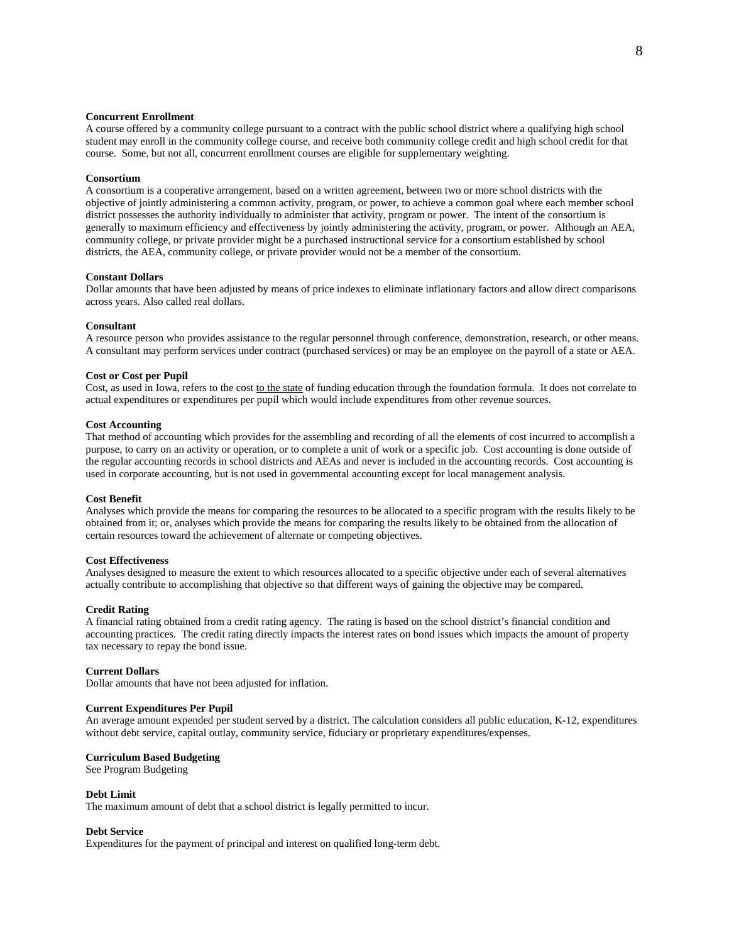## **Concurrent Enrollment**

A course offered by a community college pursuant to a contract with the public school district where a qualifying high school student may enroll in the community college course, and receive both community college credit and high school credit for that course. Some, but not all, concurrent enrollment courses are eligible for supplementary weighting.

#### **Consortium**

A consortium is a cooperative arrangement, based on a written agreement, between two or more school districts with the objective of jointly administering a common activity, program, or power, to achieve a common goal where each member school district possesses the authority individually to administer that activity, program or power. The intent of the consortium is generally to maximum efficiency and effectiveness by jointly administering the activity, program, or power. Although an AEA, community college, or private provider might be a purchased instructional service for a consortium established by school districts, the AEA, community college, or private provider would not be a member of the consortium.

#### **Constant Dollars**

Dollar amounts that have been adjusted by means of price indexes to eliminate inflationary factors and allow direct comparisons across years. Also called real dollars.

#### **Consultant**

A resource person who provides assistance to the regular personnel through conference, demonstration, research, or other means. A consultant may perform services under contract (purchased services) or may be an employee on the payroll of a state or AEA.

#### **Cost or Cost per Pupil**

Cost, as used in Iowa, refers to the cost to the state of funding education through the foundation formula. It does not correlate to actual expenditures or expenditures per pupil which would include expenditures from other revenue sources.

## **Cost Accounting**

That method of accounting which provides for the assembling and recording of all the elements of cost incurred to accomplish a purpose, to carry on an activity or operation, or to complete a unit of work or a specific job. Cost accounting is done outside of the regular accounting records in school districts and AEAs and never is included in the accounting records. Cost accounting is used in corporate accounting, but is not used in governmental accounting except for local management analysis.

#### **Cost Benefit**

Analyses which provide the means for comparing the resources to be allocated to a specific program with the results likely to be obtained from it; or, analyses which provide the means for comparing the results likely to be obtained from the allocation of certain resources toward the achievement of alternate or competing objectives.

# **Cost Effectiveness**

Analyses designed to measure the extent to which resources allocated to a specific objective under each of several alternatives actually contribute to accomplishing that objective so that different ways of gaining the objective may be compared.

## **Credit Rating**

A financial rating obtained from a credit rating agency. The rating is based on the school district's financial condition and accounting practices. The credit rating directly impacts the interest rates on bond issues which impacts the amount of property tax necessary to repay the bond issue.

#### **Current Dollars**

Dollar amounts that have not been adjusted for inflation.

# **Current Expenditures Per Pupil**

An average amount expended per student served by a district. The calculation considers all public education, K-12, expenditures without debt service, capital outlay, community service, fiduciary or proprietary expenditures/expenses.

#### **Curriculum Based Budgeting**

See Program Budgeting

#### **Debt Limit**

The maximum amount of debt that a school district is legally permitted to incur.

## **Debt Service**

Expenditures for the payment of principal and interest on qualified long-term debt.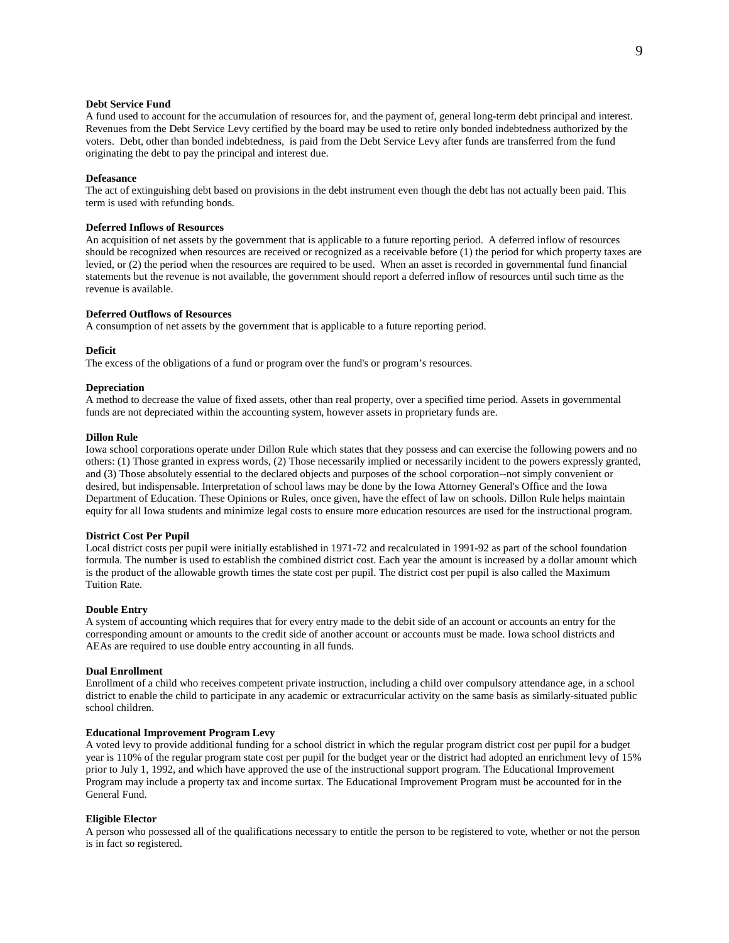## **Debt Service Fund**

A fund used to account for the accumulation of resources for, and the payment of, general long-term debt principal and interest. Revenues from the Debt Service Levy certified by the board may be used to retire only bonded indebtedness authorized by the voters. Debt, other than bonded indebtedness, is paid from the Debt Service Levy after funds are transferred from the fund originating the debt to pay the principal and interest due.

#### **Defeasance**

The act of extinguishing debt based on provisions in the debt instrument even though the debt has not actually been paid. This term is used with refunding bonds.

## **Deferred Inflows of Resources**

An acquisition of net assets by the government that is applicable to a future reporting period. A deferred inflow of resources should be recognized when resources are received or recognized as a receivable before (1) the period for which property taxes are levied, or (2) the period when the resources are required to be used. When an asset is recorded in governmental fund financial statements but the revenue is not available, the government should report a deferred inflow of resources until such time as the revenue is available.

# **Deferred Outflows of Resources**

A consumption of net assets by the government that is applicable to a future reporting period.

## **Deficit**

The excess of the obligations of a fund or program over the fund's or program's resources.

# **Depreciation**

A method to decrease the value of fixed assets, other than real property, over a specified time period. Assets in governmental funds are not depreciated within the accounting system, however assets in proprietary funds are.

### **Dillon Rule**

Iowa school corporations operate under Dillon Rule which states that they possess and can exercise the following powers and no others: (1) Those granted in express words, (2) Those necessarily implied or necessarily incident to the powers expressly granted, and (3) Those absolutely essential to the declared objects and purposes of the school corporation--not simply convenient or desired, but indispensable. Interpretation of school laws may be done by the Iowa Attorney General's Office and the Iowa Department of Education. These Opinions or Rules, once given, have the effect of law on schools. Dillon Rule helps maintain equity for all Iowa students and minimize legal costs to ensure more education resources are used for the instructional program.

## **District Cost Per Pupil**

Local district costs per pupil were initially established in 1971-72 and recalculated in 1991-92 as part of the school foundation formula. The number is used to establish the combined district cost. Each year the amount is increased by a dollar amount which is the product of the allowable growth times the state cost per pupil. The district cost per pupil is also called the Maximum Tuition Rate.

## **Double Entry**

A system of accounting which requires that for every entry made to the debit side of an account or accounts an entry for the corresponding amount or amounts to the credit side of another account or accounts must be made. Iowa school districts and AEAs are required to use double entry accounting in all funds.

### **Dual Enrollment**

Enrollment of a child who receives competent private instruction, including a child over compulsory attendance age, in a school district to enable the child to participate in any academic or extracurricular activity on the same basis as similarly-situated public school children.

## **Educational Improvement Program Levy**

A voted levy to provide additional funding for a school district in which the regular program district cost per pupil for a budget year is 110% of the regular program state cost per pupil for the budget year or the district had adopted an enrichment levy of 15% prior to July 1, 1992, and which have approved the use of the instructional support program. The Educational Improvement Program may include a property tax and income surtax. The Educational Improvement Program must be accounted for in the General Fund.

### **Eligible Elector**

A person who possessed all of the qualifications necessary to entitle the person to be registered to vote, whether or not the person is in fact so registered.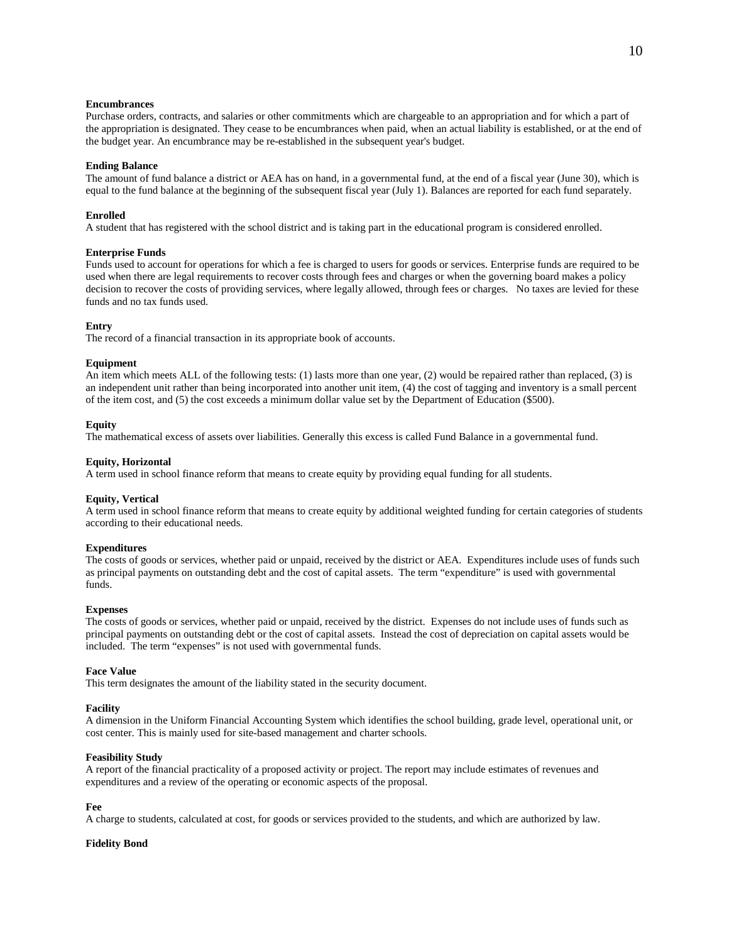# **Encumbrances**

Purchase orders, contracts, and salaries or other commitments which are chargeable to an appropriation and for which a part of the appropriation is designated. They cease to be encumbrances when paid, when an actual liability is established, or at the end of the budget year. An encumbrance may be re-established in the subsequent year's budget.

### **Ending Balance**

The amount of fund balance a district or AEA has on hand, in a governmental fund, at the end of a fiscal year (June 30), which is equal to the fund balance at the beginning of the subsequent fiscal year (July 1). Balances are reported for each fund separately.

### **Enrolled**

A student that has registered with the school district and is taking part in the educational program is considered enrolled.

## **Enterprise Funds**

Funds used to account for operations for which a fee is charged to users for goods or services. Enterprise funds are required to be used when there are legal requirements to recover costs through fees and charges or when the governing board makes a policy decision to recover the costs of providing services, where legally allowed, through fees or charges. No taxes are levied for these funds and no tax funds used.

## **Entry**

The record of a financial transaction in its appropriate book of accounts.

## **Equipment**

An item which meets ALL of the following tests: (1) lasts more than one year, (2) would be repaired rather than replaced, (3) is an independent unit rather than being incorporated into another unit item, (4) the cost of tagging and inventory is a small percent of the item cost, and (5) the cost exceeds a minimum dollar value set by the Department of Education (\$500).

#### **Equity**

The mathematical excess of assets over liabilities. Generally this excess is called Fund Balance in a governmental fund.

#### **Equity, Horizontal**

A term used in school finance reform that means to create equity by providing equal funding for all students.

### **Equity, Vertical**

A term used in school finance reform that means to create equity by additional weighted funding for certain categories of students according to their educational needs.

#### **Expenditures**

The costs of goods or services, whether paid or unpaid, received by the district or AEA. Expenditures include uses of funds such as principal payments on outstanding debt and the cost of capital assets. The term "expenditure" is used with governmental funds.

# **Expenses**

The costs of goods or services, whether paid or unpaid, received by the district. Expenses do not include uses of funds such as principal payments on outstanding debt or the cost of capital assets. Instead the cost of depreciation on capital assets would be included. The term "expenses" is not used with governmental funds.

#### **Face Value**

This term designates the amount of the liability stated in the security document.

### **Facility**

A dimension in the Uniform Financial Accounting System which identifies the school building, grade level, operational unit, or cost center. This is mainly used for site-based management and charter schools.

## **Feasibility Study**

A report of the financial practicality of a proposed activity or project. The report may include estimates of revenues and expenditures and a review of the operating or economic aspects of the proposal.

#### **Fee**

A charge to students, calculated at cost, for goods or services provided to the students, and which are authorized by law.

## **Fidelity Bond**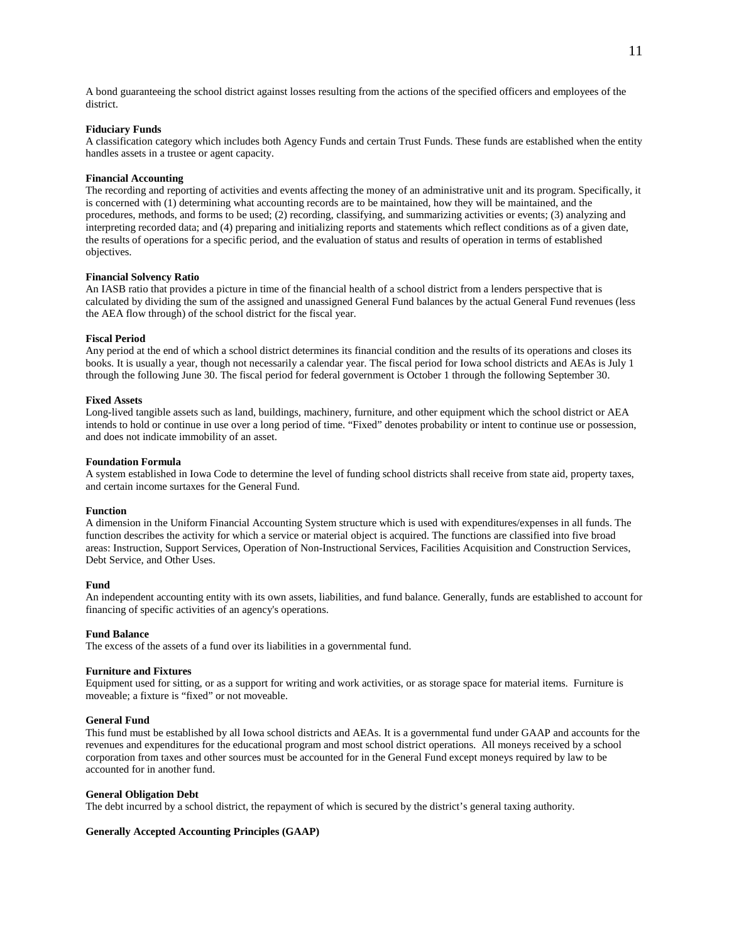A bond guaranteeing the school district against losses resulting from the actions of the specified officers and employees of the district.

## **Fiduciary Funds**

A classification category which includes both Agency Funds and certain Trust Funds. These funds are established when the entity handles assets in a trustee or agent capacity.

#### **Financial Accounting**

The recording and reporting of activities and events affecting the money of an administrative unit and its program. Specifically, it is concerned with (1) determining what accounting records are to be maintained, how they will be maintained, and the procedures, methods, and forms to be used; (2) recording, classifying, and summarizing activities or events; (3) analyzing and interpreting recorded data; and (4) preparing and initializing reports and statements which reflect conditions as of a given date, the results of operations for a specific period, and the evaluation of status and results of operation in terms of established objectives.

## **Financial Solvency Ratio**

An IASB ratio that provides a picture in time of the financial health of a school district from a lenders perspective that is calculated by dividing the sum of the assigned and unassigned General Fund balances by the actual General Fund revenues (less the AEA flow through) of the school district for the fiscal year.

#### **Fiscal Period**

Any period at the end of which a school district determines its financial condition and the results of its operations and closes its books. It is usually a year, though not necessarily a calendar year. The fiscal period for Iowa school districts and AEAs is July 1 through the following June 30. The fiscal period for federal government is October 1 through the following September 30.

### **Fixed Assets**

Long-lived tangible assets such as land, buildings, machinery, furniture, and other equipment which the school district or AEA intends to hold or continue in use over a long period of time. "Fixed" denotes probability or intent to continue use or possession, and does not indicate immobility of an asset.

#### **Foundation Formula**

A system established in Iowa Code to determine the level of funding school districts shall receive from state aid, property taxes, and certain income surtaxes for the General Fund.

## **Function**

A dimension in the Uniform Financial Accounting System structure which is used with expenditures/expenses in all funds. The function describes the activity for which a service or material object is acquired. The functions are classified into five broad areas: Instruction, Support Services, Operation of Non-Instructional Services, Facilities Acquisition and Construction Services, Debt Service, and Other Uses.

#### **Fund**

An independent accounting entity with its own assets, liabilities, and fund balance. Generally, funds are established to account for financing of specific activities of an agency's operations.

#### **Fund Balance**

The excess of the assets of a fund over its liabilities in a governmental fund.

#### **Furniture and Fixtures**

Equipment used for sitting, or as a support for writing and work activities, or as storage space for material items. Furniture is moveable; a fixture is "fixed" or not moveable.

## **General Fund**

This fund must be established by all Iowa school districts and AEAs. It is a governmental fund under GAAP and accounts for the revenues and expenditures for the educational program and most school district operations. All moneys received by a school corporation from taxes and other sources must be accounted for in the General Fund except moneys required by law to be accounted for in another fund.

#### **General Obligation Debt**

The debt incurred by a school district, the repayment of which is secured by the district's general taxing authority.

## **Generally Accepted Accounting Principles (GAAP)**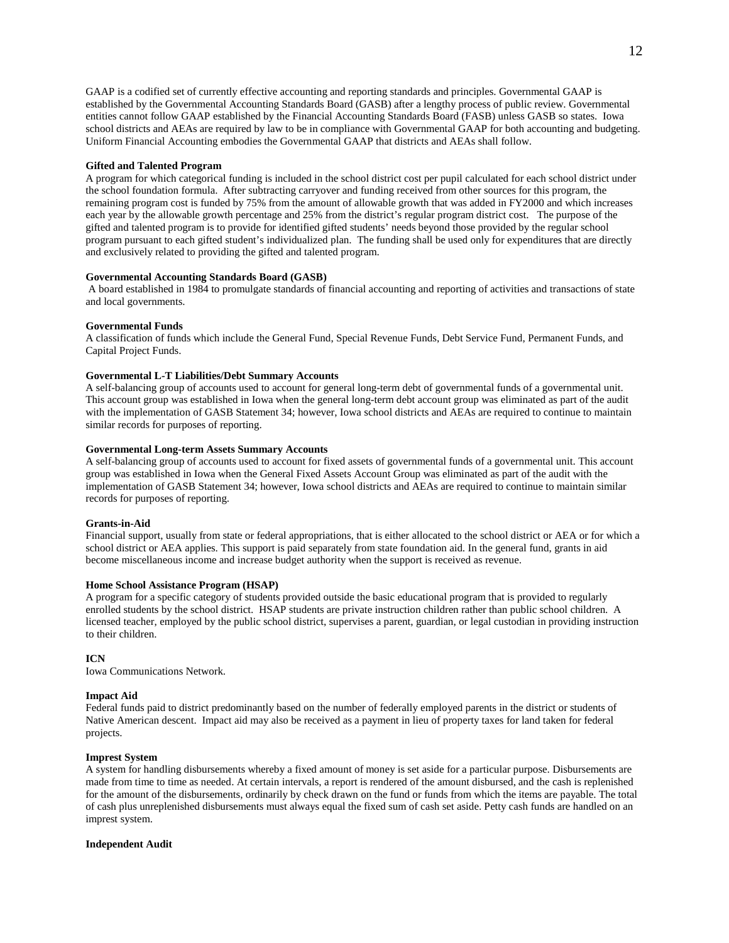GAAP is a codified set of currently effective accounting and reporting standards and principles. Governmental GAAP is established by the Governmental Accounting Standards Board (GASB) after a lengthy process of public review. Governmental entities cannot follow GAAP established by the Financial Accounting Standards Board (FASB) unless GASB so states. Iowa school districts and AEAs are required by law to be in compliance with Governmental GAAP for both accounting and budgeting. Uniform Financial Accounting embodies the Governmental GAAP that districts and AEAs shall follow.

## **Gifted and Talented Program**

A program for which categorical funding is included in the school district cost per pupil calculated for each school district under the school foundation formula. After subtracting carryover and funding received from other sources for this program, the remaining program cost is funded by 75% from the amount of allowable growth that was added in FY2000 and which increases each year by the allowable growth percentage and 25% from the district's regular program district cost. The purpose of the gifted and talented program is to provide for identified gifted students' needs beyond those provided by the regular school program pursuant to each gifted student's individualized plan. The funding shall be used only for expenditures that are directly and exclusively related to providing the gifted and talented program.

## **Governmental Accounting Standards Board (GASB)**

A board established in 1984 to promulgate standards of financial accounting and reporting of activities and transactions of state and local governments.

#### **Governmental Funds**

A classification of funds which include the General Fund, Special Revenue Funds, Debt Service Fund, Permanent Funds, and Capital Project Funds.

## **Governmental L-T Liabilities/Debt Summary Accounts**

A self-balancing group of accounts used to account for general long-term debt of governmental funds of a governmental unit. This account group was established in Iowa when the general long-term debt account group was eliminated as part of the audit with the implementation of GASB Statement 34; however, Iowa school districts and AEAs are required to continue to maintain similar records for purposes of reporting.

### **Governmental Long-term Assets Summary Accounts**

A self-balancing group of accounts used to account for fixed assets of governmental funds of a governmental unit. This account group was established in Iowa when the General Fixed Assets Account Group was eliminated as part of the audit with the implementation of GASB Statement 34; however, Iowa school districts and AEAs are required to continue to maintain similar records for purposes of reporting.

#### **Grants-in-Aid**

Financial support, usually from state or federal appropriations, that is either allocated to the school district or AEA or for which a school district or AEA applies. This support is paid separately from state foundation aid. In the general fund, grants in aid become miscellaneous income and increase budget authority when the support is received as revenue.

## **Home School Assistance Program (HSAP)**

A program for a specific category of students provided outside the basic educational program that is provided to regularly enrolled students by the school district. HSAP students are private instruction children rather than public school children. A licensed teacher, employed by the public school district, supervises a parent, guardian, or legal custodian in providing instruction to their children.

## **ICN**

Iowa Communications Network.

#### **Impact Aid**

Federal funds paid to district predominantly based on the number of federally employed parents in the district or students of Native American descent. Impact aid may also be received as a payment in lieu of property taxes for land taken for federal projects.

## **Imprest System**

A system for handling disbursements whereby a fixed amount of money is set aside for a particular purpose. Disbursements are made from time to time as needed. At certain intervals, a report is rendered of the amount disbursed, and the cash is replenished for the amount of the disbursements, ordinarily by check drawn on the fund or funds from which the items are payable. The total of cash plus unreplenished disbursements must always equal the fixed sum of cash set aside. Petty cash funds are handled on an imprest system.

## **Independent Audit**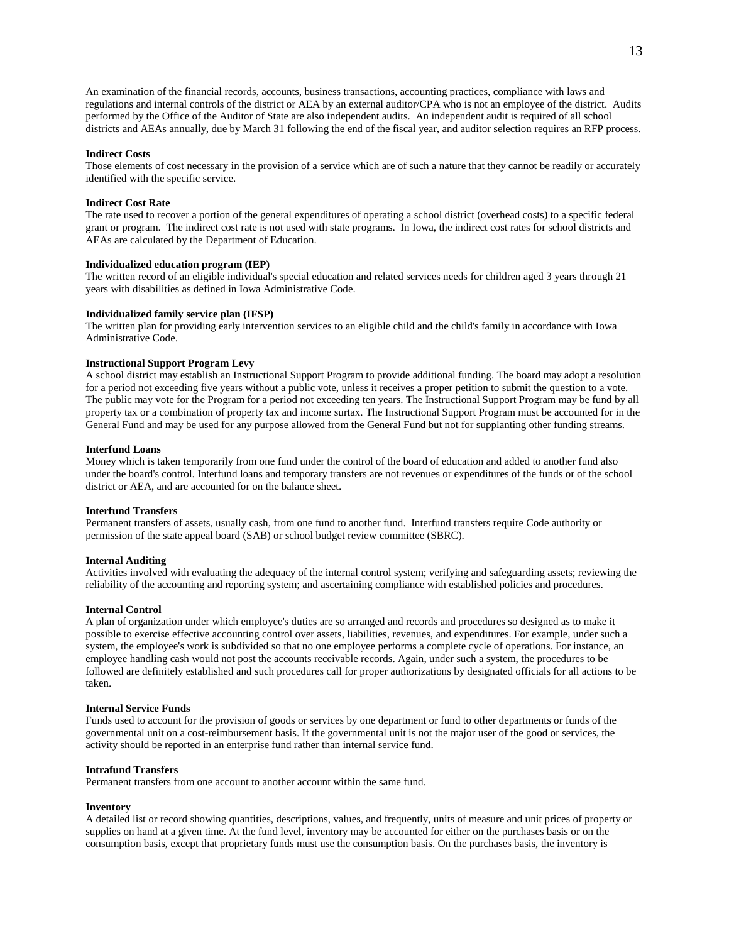An examination of the financial records, accounts, business transactions, accounting practices, compliance with laws and regulations and internal controls of the district or AEA by an external auditor/CPA who is not an employee of the district. Audits performed by the Office of the Auditor of State are also independent audits. An independent audit is required of all school districts and AEAs annually, due by March 31 following the end of the fiscal year, and auditor selection requires an RFP process.

### **Indirect Costs**

Those elements of cost necessary in the provision of a service which are of such a nature that they cannot be readily or accurately identified with the specific service.

### **Indirect Cost Rate**

The rate used to recover a portion of the general expenditures of operating a school district (overhead costs) to a specific federal grant or program. The indirect cost rate is not used with state programs. In Iowa, the indirect cost rates for school districts and AEAs are calculated by the Department of Education.

#### **Individualized education program (IEP)**

The written record of an eligible individual's special education and related services needs for children aged 3 years through 21 years with disabilities as defined in Iowa Administrative Code.

## **Individualized family service plan (IFSP)**

The written plan for providing early intervention services to an eligible child and the child's family in accordance with Iowa Administrative Code.

#### **Instructional Support Program Levy**

A school district may establish an Instructional Support Program to provide additional funding. The board may adopt a resolution for a period not exceeding five years without a public vote, unless it receives a proper petition to submit the question to a vote. The public may vote for the Program for a period not exceeding ten years. The Instructional Support Program may be fund by all property tax or a combination of property tax and income surtax. The Instructional Support Program must be accounted for in the General Fund and may be used for any purpose allowed from the General Fund but not for supplanting other funding streams.

#### **Interfund Loans**

Money which is taken temporarily from one fund under the control of the board of education and added to another fund also under the board's control. Interfund loans and temporary transfers are not revenues or expenditures of the funds or of the school district or AEA, and are accounted for on the balance sheet.

## **Interfund Transfers**

Permanent transfers of assets, usually cash, from one fund to another fund. Interfund transfers require Code authority or permission of the state appeal board (SAB) or school budget review committee (SBRC).

## **Internal Auditing**

Activities involved with evaluating the adequacy of the internal control system; verifying and safeguarding assets; reviewing the reliability of the accounting and reporting system; and ascertaining compliance with established policies and procedures.

## **Internal Control**

A plan of organization under which employee's duties are so arranged and records and procedures so designed as to make it possible to exercise effective accounting control over assets, liabilities, revenues, and expenditures. For example, under such a system, the employee's work is subdivided so that no one employee performs a complete cycle of operations. For instance, an employee handling cash would not post the accounts receivable records. Again, under such a system, the procedures to be followed are definitely established and such procedures call for proper authorizations by designated officials for all actions to be taken.

## **Internal Service Funds**

Funds used to account for the provision of goods or services by one department or fund to other departments or funds of the governmental unit on a cost-reimbursement basis. If the governmental unit is not the major user of the good or services, the activity should be reported in an enterprise fund rather than internal service fund.

#### **Intrafund Transfers**

Permanent transfers from one account to another account within the same fund.

#### **Inventory**

A detailed list or record showing quantities, descriptions, values, and frequently, units of measure and unit prices of property or supplies on hand at a given time. At the fund level, inventory may be accounted for either on the purchases basis or on the consumption basis, except that proprietary funds must use the consumption basis. On the purchases basis, the inventory is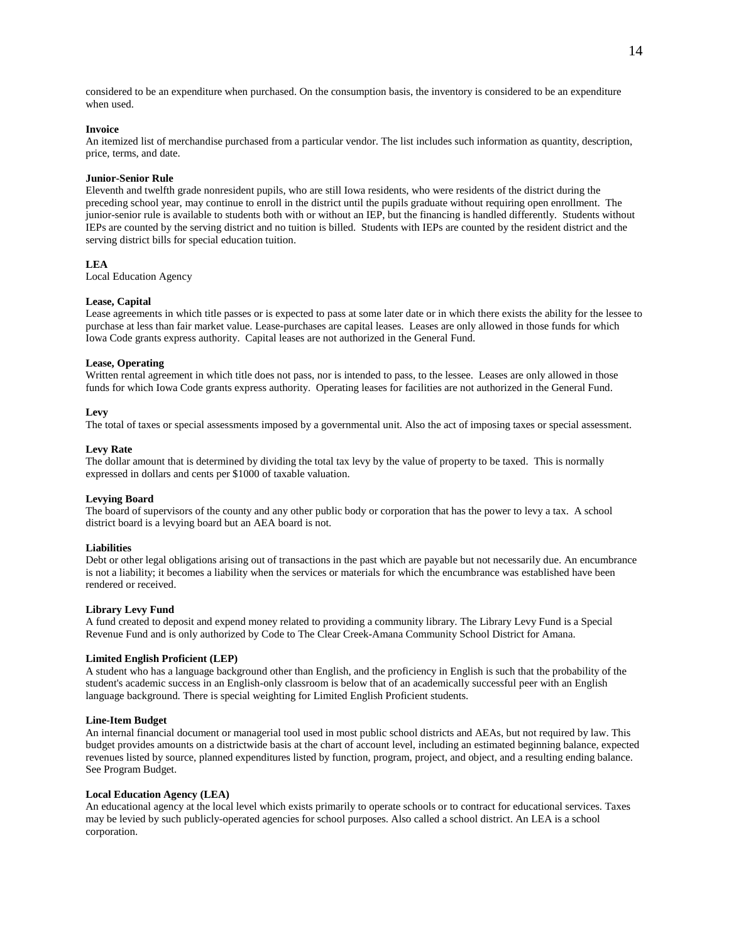considered to be an expenditure when purchased. On the consumption basis, the inventory is considered to be an expenditure when used.

## **Invoice**

An itemized list of merchandise purchased from a particular vendor. The list includes such information as quantity, description, price, terms, and date.

## **Junior-Senior Rule**

Eleventh and twelfth grade nonresident pupils, who are still Iowa residents, who were residents of the district during the preceding school year, may continue to enroll in the district until the pupils graduate without requiring open enrollment. The junior-senior rule is available to students both with or without an IEP, but the financing is handled differently. Students without IEPs are counted by the serving district and no tuition is billed. Students with IEPs are counted by the resident district and the serving district bills for special education tuition.

## **LEA**

Local Education Agency

## **Lease, Capital**

Lease agreements in which title passes or is expected to pass at some later date or in which there exists the ability for the lessee to purchase at less than fair market value. Lease-purchases are capital leases. Leases are only allowed in those funds for which Iowa Code grants express authority. Capital leases are not authorized in the General Fund.

## **Lease, Operating**

Written rental agreement in which title does not pass, nor is intended to pass, to the lessee. Leases are only allowed in those funds for which Iowa Code grants express authority. Operating leases for facilities are not authorized in the General Fund.

### **Levy**

The total of taxes or special assessments imposed by a governmental unit. Also the act of imposing taxes or special assessment.

### **Levy Rate**

The dollar amount that is determined by dividing the total tax levy by the value of property to be taxed. This is normally expressed in dollars and cents per \$1000 of taxable valuation.

#### **Levying Board**

The board of supervisors of the county and any other public body or corporation that has the power to levy a tax. A school district board is a levying board but an AEA board is not.

## **Liabilities**

Debt or other legal obligations arising out of transactions in the past which are payable but not necessarily due. An encumbrance is not a liability; it becomes a liability when the services or materials for which the encumbrance was established have been rendered or received.

## **Library Levy Fund**

A fund created to deposit and expend money related to providing a community library. The Library Levy Fund is a Special Revenue Fund and is only authorized by Code to The Clear Creek-Amana Community School District for Amana.

#### **Limited English Proficient (LEP)**

A student who has a language background other than English, and the proficiency in English is such that the probability of the student's academic success in an English-only classroom is below that of an academically successful peer with an English language background. There is special weighting for Limited English Proficient students.

## **Line-Item Budget**

An internal financial document or managerial tool used in most public school districts and AEAs, but not required by law. This budget provides amounts on a districtwide basis at the chart of account level, including an estimated beginning balance, expected revenues listed by source, planned expenditures listed by function, program, project, and object, and a resulting ending balance. See Program Budget.

#### **Local Education Agency (LEA)**

An educational agency at the local level which exists primarily to operate schools or to contract for educational services. Taxes may be levied by such publicly-operated agencies for school purposes. Also called a school district. An LEA is a school corporation.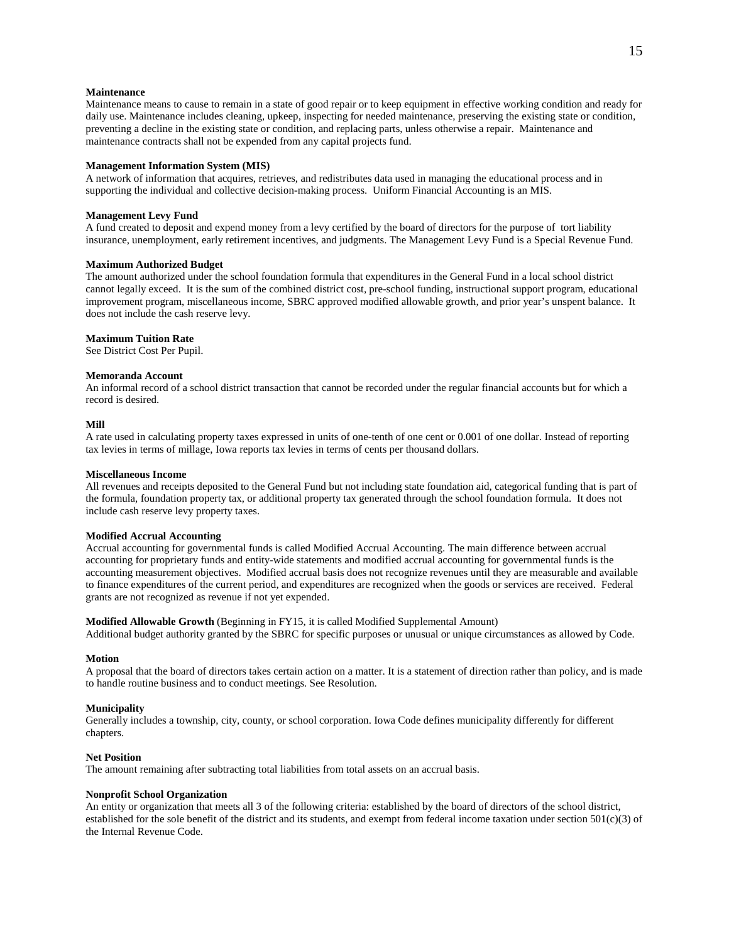# **Maintenance**

Maintenance means to cause to remain in a state of good repair or to keep equipment in effective working condition and ready for daily use. Maintenance includes cleaning, upkeep, inspecting for needed maintenance, preserving the existing state or condition, preventing a decline in the existing state or condition, and replacing parts, unless otherwise a repair. Maintenance and maintenance contracts shall not be expended from any capital projects fund.

## **Management Information System (MIS)**

A network of information that acquires, retrieves, and redistributes data used in managing the educational process and in supporting the individual and collective decision-making process. Uniform Financial Accounting is an MIS.

## **Management Levy Fund**

A fund created to deposit and expend money from a levy certified by the board of directors for the purpose of tort liability insurance, unemployment, early retirement incentives, and judgments. The Management Levy Fund is a Special Revenue Fund.

### **Maximum Authorized Budget**

The amount authorized under the school foundation formula that expenditures in the General Fund in a local school district cannot legally exceed. It is the sum of the combined district cost, pre-school funding, instructional support program, educational improvement program, miscellaneous income, SBRC approved modified allowable growth, and prior year's unspent balance. It does not include the cash reserve levy.

## **Maximum Tuition Rate**

See District Cost Per Pupil.

## **Memoranda Account**

An informal record of a school district transaction that cannot be recorded under the regular financial accounts but for which a record is desired.

#### **Mill**

A rate used in calculating property taxes expressed in units of one-tenth of one cent or 0.001 of one dollar. Instead of reporting tax levies in terms of millage, Iowa reports tax levies in terms of cents per thousand dollars.

#### **Miscellaneous Income**

All revenues and receipts deposited to the General Fund but not including state foundation aid, categorical funding that is part of the formula, foundation property tax, or additional property tax generated through the school foundation formula. It does not include cash reserve levy property taxes.

## **Modified Accrual Accounting**

Accrual accounting for governmental funds is called Modified Accrual Accounting. The main difference between accrual accounting for proprietary funds and entity-wide statements and modified accrual accounting for governmental funds is the accounting measurement objectives. Modified accrual basis does not recognize revenues until they are measurable and available to finance expenditures of the current period, and expenditures are recognized when the goods or services are received. Federal grants are not recognized as revenue if not yet expended.

**Modified Allowable Growth** (Beginning in FY15, it is called Modified Supplemental Amount) Additional budget authority granted by the SBRC for specific purposes or unusual or unique circumstances as allowed by Code.

#### **Motion**

A proposal that the board of directors takes certain action on a matter. It is a statement of direction rather than policy, and is made to handle routine business and to conduct meetings. See Resolution.

#### **Municipality**

Generally includes a township, city, county, or school corporation. Iowa Code defines municipality differently for different chapters.

#### **Net Position**

The amount remaining after subtracting total liabilities from total assets on an accrual basis.

#### **Nonprofit School Organization**

An entity or organization that meets all 3 of the following criteria: established by the board of directors of the school district, established for the sole benefit of the district and its students, and exempt from federal income taxation under section 501(c)(3) of the Internal Revenue Code.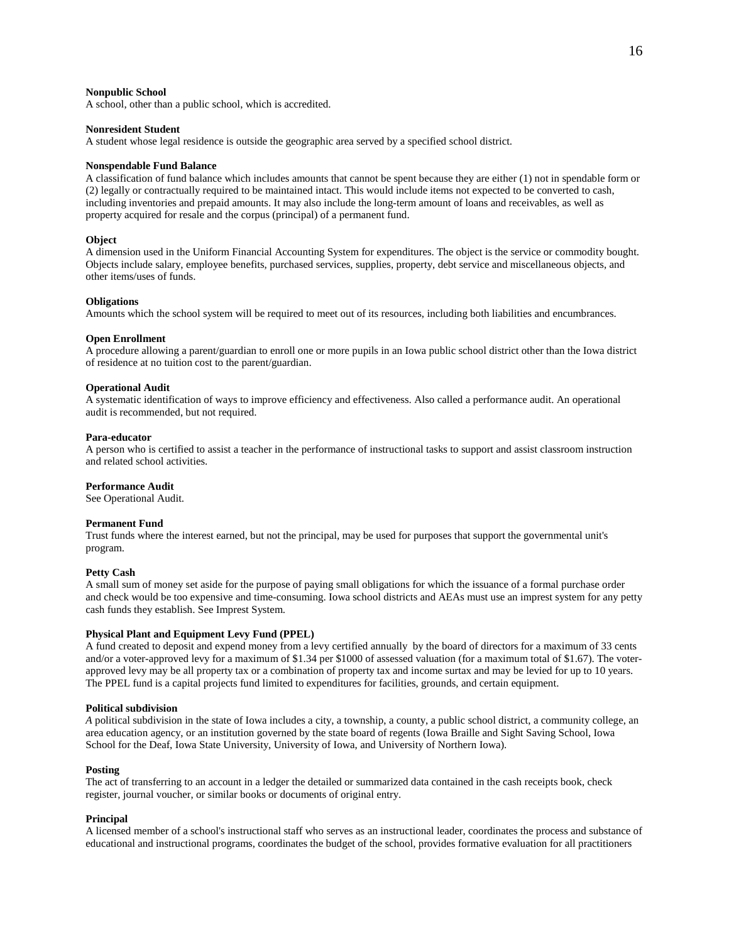### **Nonpublic School**

A school, other than a public school, which is accredited.

## **Nonresident Student**

A student whose legal residence is outside the geographic area served by a specified school district.

#### **Nonspendable Fund Balance**

A classification of fund balance which includes amounts that cannot be spent because they are either (1) not in spendable form or (2) legally or contractually required to be maintained intact. This would include items not expected to be converted to cash, including inventories and prepaid amounts. It may also include the long-term amount of loans and receivables, as well as property acquired for resale and the corpus (principal) of a permanent fund.

#### **Object**

A dimension used in the Uniform Financial Accounting System for expenditures. The object is the service or commodity bought. Objects include salary, employee benefits, purchased services, supplies, property, debt service and miscellaneous objects, and other items/uses of funds.

#### **Obligations**

Amounts which the school system will be required to meet out of its resources, including both liabilities and encumbrances.

#### **Open Enrollment**

A procedure allowing a parent/guardian to enroll one or more pupils in an Iowa public school district other than the Iowa district of residence at no tuition cost to the parent/guardian.

#### **Operational Audit**

A systematic identification of ways to improve efficiency and effectiveness. Also called a performance audit. An operational audit is recommended, but not required.

## **Para-educator**

A person who is certified to assist a teacher in the performance of instructional tasks to support and assist classroom instruction and related school activities.

#### **Performance Audit**

See Operational Audit.

## **Permanent Fund**

Trust funds where the interest earned, but not the principal, may be used for purposes that support the governmental unit's program.

#### **Petty Cash**

A small sum of money set aside for the purpose of paying small obligations for which the issuance of a formal purchase order and check would be too expensive and time-consuming. Iowa school districts and AEAs must use an imprest system for any petty cash funds they establish. See Imprest System.

## **Physical Plant and Equipment Levy Fund (PPEL)**

A fund created to deposit and expend money from a levy certified annually by the board of directors for a maximum of 33 cents and/or a voter-approved levy for a maximum of \$1.34 per \$1000 of assessed valuation (for a maximum total of \$1.67). The voterapproved levy may be all property tax or a combination of property tax and income surtax and may be levied for up to 10 years. The PPEL fund is a capital projects fund limited to expenditures for facilities, grounds, and certain equipment.

## **Political subdivision**

*A* political subdivision in the state of Iowa includes a city, a township, a county, a public school district, a community college, an area education agency, or an institution governed by the state board of regents (Iowa Braille and Sight Saving School, Iowa School for the Deaf, Iowa State University, University of Iowa, and University of Northern Iowa).

#### **Posting**

The act of transferring to an account in a ledger the detailed or summarized data contained in the cash receipts book, check register, journal voucher, or similar books or documents of original entry.

### **Principal**

A licensed member of a school's instructional staff who serves as an instructional leader, coordinates the process and substance of educational and instructional programs, coordinates the budget of the school, provides formative evaluation for all practitioners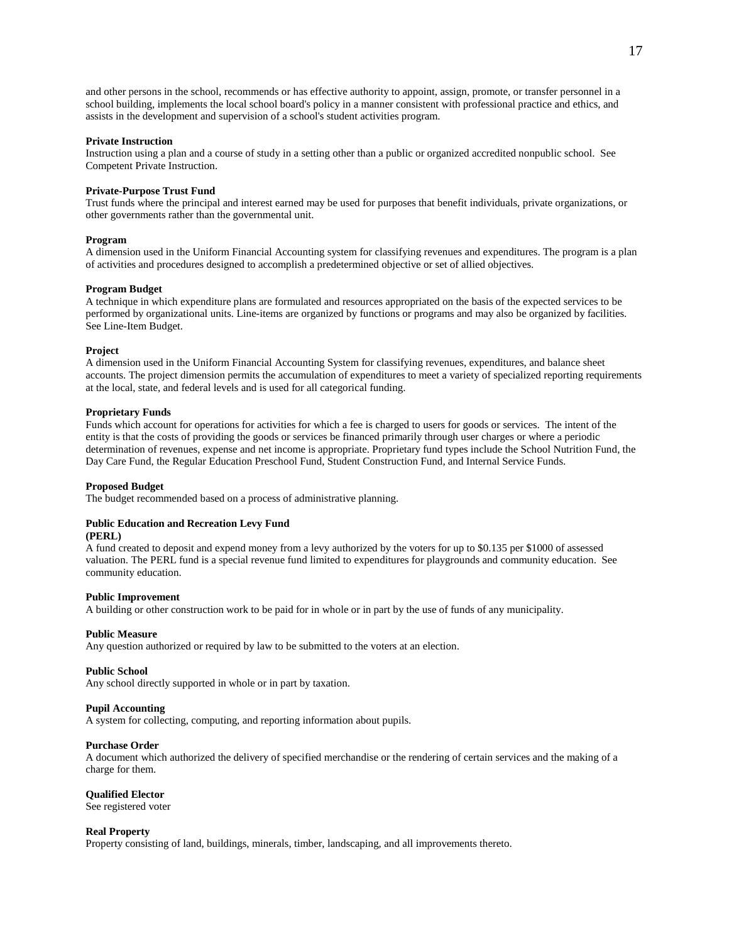and other persons in the school, recommends or has effective authority to appoint, assign, promote, or transfer personnel in a school building, implements the local school board's policy in a manner consistent with professional practice and ethics, and assists in the development and supervision of a school's student activities program.

### **Private Instruction**

Instruction using a plan and a course of study in a setting other than a public or organized accredited nonpublic school. See Competent Private Instruction.

#### **Private-Purpose Trust Fund**

Trust funds where the principal and interest earned may be used for purposes that benefit individuals, private organizations, or other governments rather than the governmental unit.

#### **Program**

A dimension used in the Uniform Financial Accounting system for classifying revenues and expenditures. The program is a plan of activities and procedures designed to accomplish a predetermined objective or set of allied objectives.

## **Program Budget**

A technique in which expenditure plans are formulated and resources appropriated on the basis of the expected services to be performed by organizational units. Line-items are organized by functions or programs and may also be organized by facilities. See Line-Item Budget.

#### **Project**

A dimension used in the Uniform Financial Accounting System for classifying revenues, expenditures, and balance sheet accounts. The project dimension permits the accumulation of expenditures to meet a variety of specialized reporting requirements at the local, state, and federal levels and is used for all categorical funding.

## **Proprietary Funds**

Funds which account for operations for activities for which a fee is charged to users for goods or services. The intent of the entity is that the costs of providing the goods or services be financed primarily through user charges or where a periodic determination of revenues, expense and net income is appropriate. Proprietary fund types include the School Nutrition Fund, the Day Care Fund, the Regular Education Preschool Fund, Student Construction Fund, and Internal Service Funds.

#### **Proposed Budget**

The budget recommended based on a process of administrative planning.

# **Public Education and Recreation Levy Fund**

# **(PERL)**

A fund created to deposit and expend money from a levy authorized by the voters for up to \$0.135 per \$1000 of assessed valuation. The PERL fund is a special revenue fund limited to expenditures for playgrounds and community education. See community education.

#### **Public Improvement**

A building or other construction work to be paid for in whole or in part by the use of funds of any municipality.

### **Public Measure**

Any question authorized or required by law to be submitted to the voters at an election.

#### **Public School**

Any school directly supported in whole or in part by taxation.

#### **Pupil Accounting**

A system for collecting, computing, and reporting information about pupils.

### **Purchase Order**

A document which authorized the delivery of specified merchandise or the rendering of certain services and the making of a charge for them.

#### **Qualified Elector**

See registered voter

#### **Real Property**

Property consisting of land, buildings, minerals, timber, landscaping, and all improvements thereto.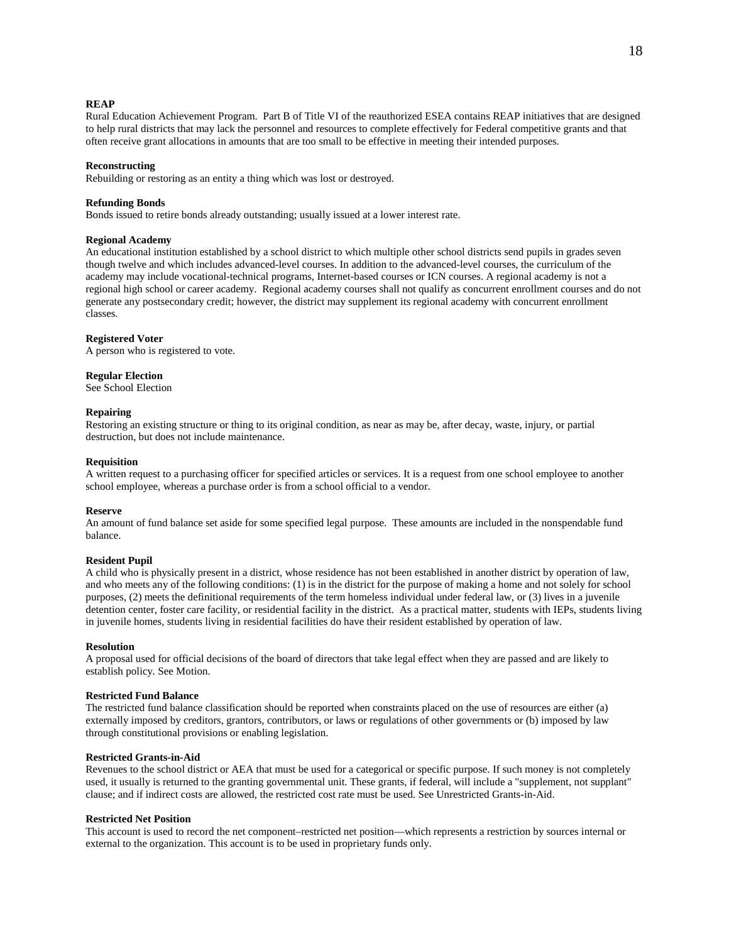## **REAP**

Rural Education Achievement Program. Part B of Title VI of the reauthorized ESEA contains REAP initiatives that are designed to help rural districts that may lack the personnel and resources to complete effectively for Federal competitive grants and that often receive grant allocations in amounts that are too small to be effective in meeting their intended purposes.

## **Reconstructing**

Rebuilding or restoring as an entity a thing which was lost or destroyed.

#### **Refunding Bonds**

Bonds issued to retire bonds already outstanding; usually issued at a lower interest rate.

## **Regional Academy**

An educational institution established by a school district to which multiple other school districts send pupils in grades seven though twelve and which includes advanced-level courses. In addition to the advanced-level courses, the curriculum of the academy may include vocational-technical programs, Internet-based courses or ICN courses. A regional academy is not a regional high school or career academy. Regional academy courses shall not qualify as concurrent enrollment courses and do not generate any postsecondary credit; however, the district may supplement its regional academy with concurrent enrollment classes.

#### **Registered Voter**

A person who is registered to vote.

#### **Regular Election**

See School Election

## **Repairing**

Restoring an existing structure or thing to its original condition, as near as may be, after decay, waste, injury, or partial destruction, but does not include maintenance.

#### **Requisition**

A written request to a purchasing officer for specified articles or services. It is a request from one school employee to another school employee, whereas a purchase order is from a school official to a vendor.

#### **Reserve**

An amount of fund balance set aside for some specified legal purpose. These amounts are included in the nonspendable fund balance.

### **Resident Pupil**

A child who is physically present in a district, whose residence has not been established in another district by operation of law, and who meets any of the following conditions: (1) is in the district for the purpose of making a home and not solely for school purposes, (2) meets the definitional requirements of the term homeless individual under federal law, or (3) lives in a juvenile detention center, foster care facility, or residential facility in the district. As a practical matter, students with IEPs, students living in juvenile homes, students living in residential facilities do have their resident established by operation of law.

### **Resolution**

A proposal used for official decisions of the board of directors that take legal effect when they are passed and are likely to establish policy. See Motion.

## **Restricted Fund Balance**

The restricted fund balance classification should be reported when constraints placed on the use of resources are either (a) externally imposed by creditors, grantors, contributors, or laws or regulations of other governments or (b) imposed by law through constitutional provisions or enabling legislation.

## **Restricted Grants-in-Aid**

Revenues to the school district or AEA that must be used for a categorical or specific purpose. If such money is not completely used, it usually is returned to the granting governmental unit. These grants, if federal, will include a "supplement, not supplant" clause; and if indirect costs are allowed, the restricted cost rate must be used. See Unrestricted Grants-in-Aid.

## **Restricted Net Position**

This account is used to record the net component–restricted net position—which represents a restriction by sources internal or external to the organization. This account is to be used in proprietary funds only.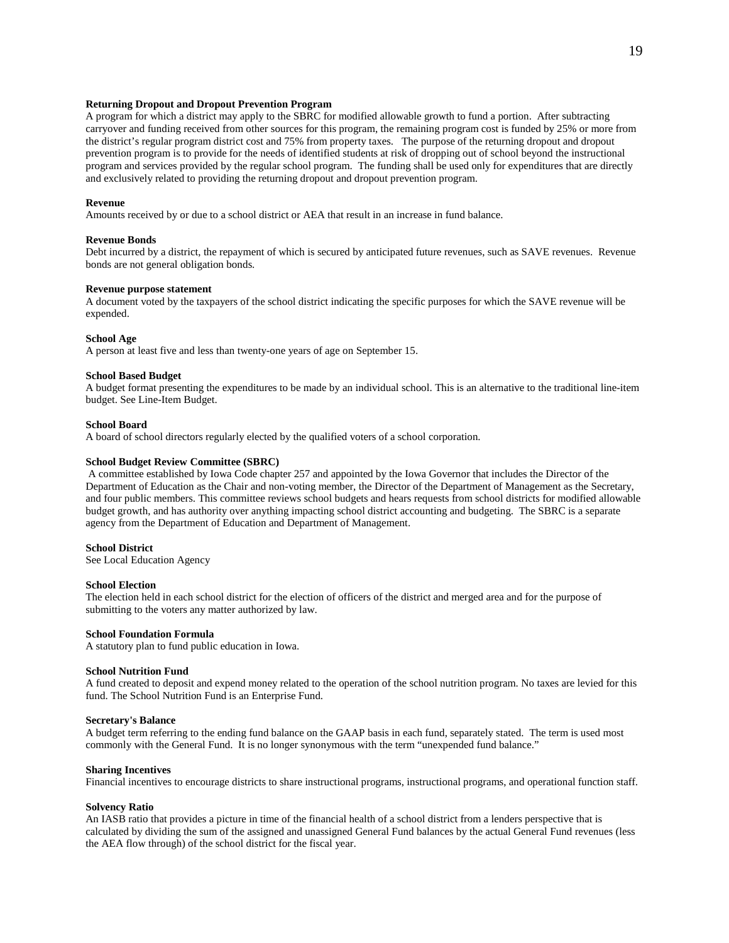## **Returning Dropout and Dropout Prevention Program**

A program for which a district may apply to the SBRC for modified allowable growth to fund a portion. After subtracting carryover and funding received from other sources for this program, the remaining program cost is funded by 25% or more from the district's regular program district cost and 75% from property taxes. The purpose of the returning dropout and dropout prevention program is to provide for the needs of identified students at risk of dropping out of school beyond the instructional program and services provided by the regular school program. The funding shall be used only for expenditures that are directly and exclusively related to providing the returning dropout and dropout prevention program.

### **Revenue**

Amounts received by or due to a school district or AEA that result in an increase in fund balance.

## **Revenue Bonds**

Debt incurred by a district, the repayment of which is secured by anticipated future revenues, such as SAVE revenues. Revenue bonds are not general obligation bonds.

## **Revenue purpose statement**

A document voted by the taxpayers of the school district indicating the specific purposes for which the SAVE revenue will be expended.

#### **School Age**

A person at least five and less than twenty-one years of age on September 15.

## **School Based Budget**

A budget format presenting the expenditures to be made by an individual school. This is an alternative to the traditional line-item budget. See Line-Item Budget.

## **School Board**

A board of school directors regularly elected by the qualified voters of a school corporation.

## **School Budget Review Committee (SBRC)**

A committee established by Iowa Code chapter 257 and appointed by the Iowa Governor that includes the Director of the Department of Education as the Chair and non-voting member, the Director of the Department of Management as the Secretary, and four public members. This committee reviews school budgets and hears requests from school districts for modified allowable budget growth, and has authority over anything impacting school district accounting and budgeting. The SBRC is a separate agency from the Department of Education and Department of Management.

## **School District**

See Local Education Agency

## **School Election**

The election held in each school district for the election of officers of the district and merged area and for the purpose of submitting to the voters any matter authorized by law.

### **School Foundation Formula**

A statutory plan to fund public education in Iowa.

#### **School Nutrition Fund**

A fund created to deposit and expend money related to the operation of the school nutrition program. No taxes are levied for this fund. The School Nutrition Fund is an Enterprise Fund.

### **Secretary's Balance**

A budget term referring to the ending fund balance on the GAAP basis in each fund, separately stated. The term is used most commonly with the General Fund. It is no longer synonymous with the term "unexpended fund balance."

#### **Sharing Incentives**

Financial incentives to encourage districts to share instructional programs, instructional programs, and operational function staff.

### **Solvency Ratio**

An IASB ratio that provides a picture in time of the financial health of a school district from a lenders perspective that is calculated by dividing the sum of the assigned and unassigned General Fund balances by the actual General Fund revenues (less the AEA flow through) of the school district for the fiscal year.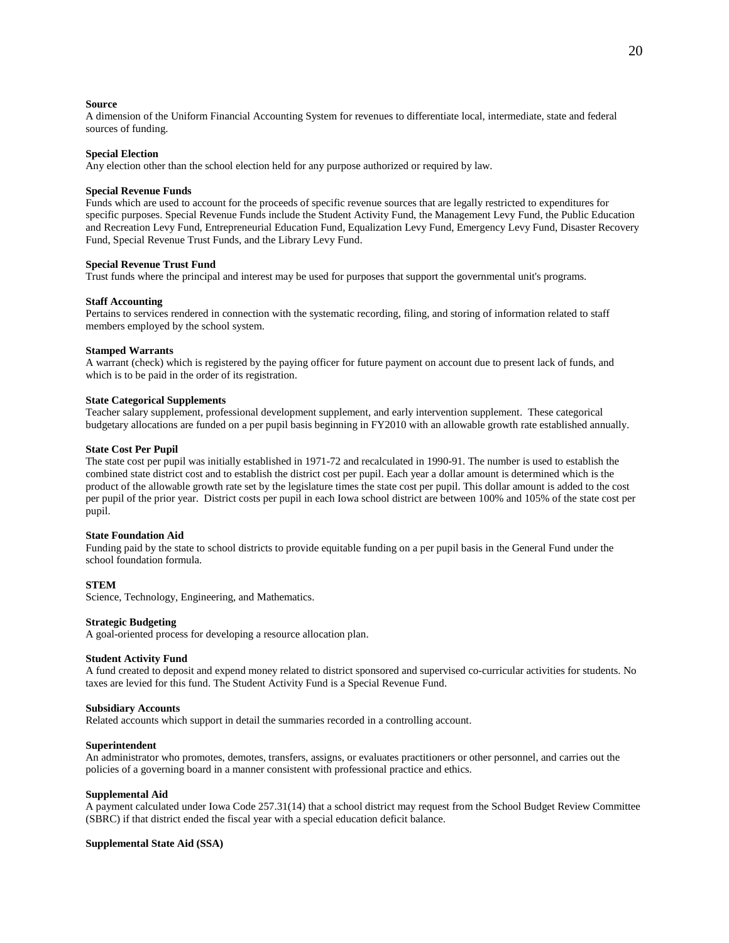### **Source**

A dimension of the Uniform Financial Accounting System for revenues to differentiate local, intermediate, state and federal sources of funding.

### **Special Election**

Any election other than the school election held for any purpose authorized or required by law.

#### **Special Revenue Funds**

Funds which are used to account for the proceeds of specific revenue sources that are legally restricted to expenditures for specific purposes. Special Revenue Funds include the Student Activity Fund, the Management Levy Fund, the Public Education and Recreation Levy Fund, Entrepreneurial Education Fund, Equalization Levy Fund, Emergency Levy Fund, Disaster Recovery Fund, Special Revenue Trust Funds, and the Library Levy Fund.

## **Special Revenue Trust Fund**

Trust funds where the principal and interest may be used for purposes that support the governmental unit's programs.

### **Staff Accounting**

Pertains to services rendered in connection with the systematic recording, filing, and storing of information related to staff members employed by the school system.

#### **Stamped Warrants**

A warrant (check) which is registered by the paying officer for future payment on account due to present lack of funds, and which is to be paid in the order of its registration.

# **State Categorical Supplements**

Teacher salary supplement, professional development supplement, and early intervention supplement. These categorical budgetary allocations are funded on a per pupil basis beginning in FY2010 with an allowable growth rate established annually.

### **State Cost Per Pupil**

The state cost per pupil was initially established in 1971-72 and recalculated in 1990-91. The number is used to establish the combined state district cost and to establish the district cost per pupil. Each year a dollar amount is determined which is the product of the allowable growth rate set by the legislature times the state cost per pupil. This dollar amount is added to the cost per pupil of the prior year. District costs per pupil in each Iowa school district are between 100% and 105% of the state cost per pupil.

## **State Foundation Aid**

Funding paid by the state to school districts to provide equitable funding on a per pupil basis in the General Fund under the school foundation formula.

#### **STEM**

Science, Technology, Engineering, and Mathematics.

#### **Strategic Budgeting**

A goal-oriented process for developing a resource allocation plan.

#### **Student Activity Fund**

A fund created to deposit and expend money related to district sponsored and supervised co-curricular activities for students. No taxes are levied for this fund. The Student Activity Fund is a Special Revenue Fund.

### **Subsidiary Accounts**

Related accounts which support in detail the summaries recorded in a controlling account.

## **Superintendent**

An administrator who promotes, demotes, transfers, assigns, or evaluates practitioners or other personnel, and carries out the policies of a governing board in a manner consistent with professional practice and ethics.

#### **Supplemental Aid**

A payment calculated under Iowa Code 257.31(14) that a school district may request from the School Budget Review Committee (SBRC) if that district ended the fiscal year with a special education deficit balance.

## **Supplemental State Aid (SSA)**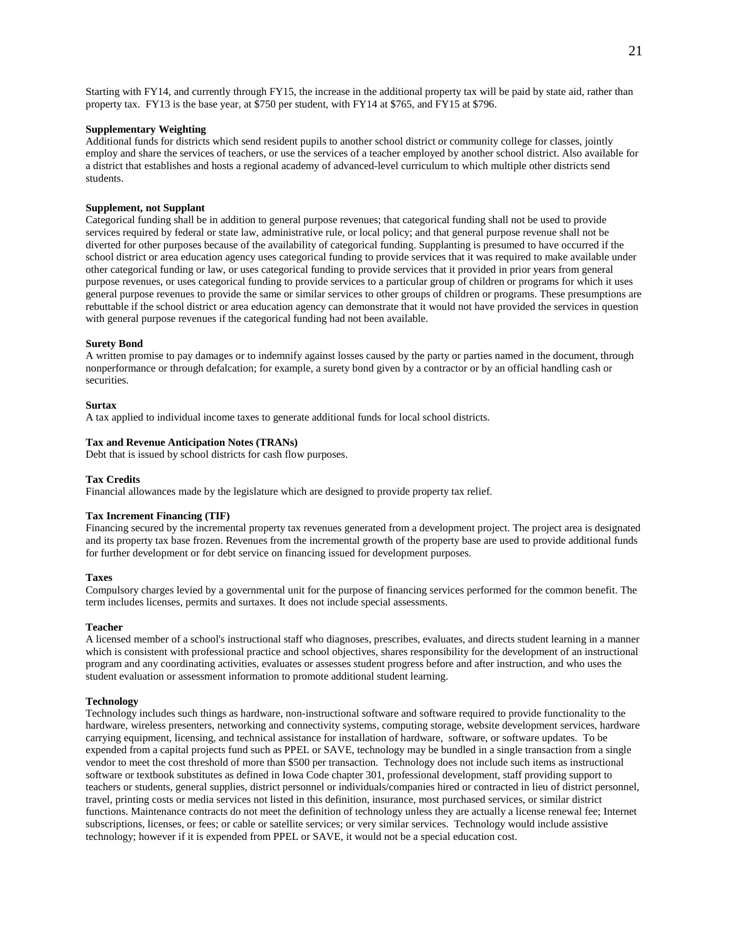Starting with FY14, and currently through FY15, the increase in the additional property tax will be paid by state aid, rather than property tax. FY13 is the base year, at \$750 per student, with FY14 at \$765, and FY15 at \$796.

## **Supplementary Weighting**

Additional funds for districts which send resident pupils to another school district or community college for classes, jointly employ and share the services of teachers, or use the services of a teacher employed by another school district. Also available for a district that establishes and hosts a regional academy of advanced-level curriculum to which multiple other districts send students.

## **Supplement, not Supplant**

Categorical funding shall be in addition to general purpose revenues; that categorical funding shall not be used to provide services required by federal or state law, administrative rule, or local policy; and that general purpose revenue shall not be diverted for other purposes because of the availability of categorical funding. Supplanting is presumed to have occurred if the school district or area education agency uses categorical funding to provide services that it was required to make available under other categorical funding or law, or uses categorical funding to provide services that it provided in prior years from general purpose revenues, or uses categorical funding to provide services to a particular group of children or programs for which it uses general purpose revenues to provide the same or similar services to other groups of children or programs. These presumptions are rebuttable if the school district or area education agency can demonstrate that it would not have provided the services in question with general purpose revenues if the categorical funding had not been available.

## **Surety Bond**

A written promise to pay damages or to indemnify against losses caused by the party or parties named in the document, through nonperformance or through defalcation; for example, a surety bond given by a contractor or by an official handling cash or securities.

## **Surtax**

A tax applied to individual income taxes to generate additional funds for local school districts.

## **Tax and Revenue Anticipation Notes (TRANs)**

Debt that is issued by school districts for cash flow purposes.

## **Tax Credits**

Financial allowances made by the legislature which are designed to provide property tax relief.

## **Tax Increment Financing (TIF)**

Financing secured by the incremental property tax revenues generated from a development project. The project area is designated and its property tax base frozen. Revenues from the incremental growth of the property base are used to provide additional funds for further development or for debt service on financing issued for development purposes.

### **Taxes**

Compulsory charges levied by a governmental unit for the purpose of financing services performed for the common benefit. The term includes licenses, permits and surtaxes. It does not include special assessments.

## **Teacher**

A licensed member of a school's instructional staff who diagnoses, prescribes, evaluates, and directs student learning in a manner which is consistent with professional practice and school objectives, shares responsibility for the development of an instructional program and any coordinating activities, evaluates or assesses student progress before and after instruction, and who uses the student evaluation or assessment information to promote additional student learning.

### **Technology**

Technology includes such things as hardware, non-instructional software and software required to provide functionality to the hardware, wireless presenters, networking and connectivity systems, computing storage, website development services, hardware carrying equipment, licensing, and technical assistance for installation of hardware, software, or software updates. To be expended from a capital projects fund such as PPEL or SAVE, technology may be bundled in a single transaction from a single vendor to meet the cost threshold of more than \$500 per transaction. Technology does not include such items as instructional software or textbook substitutes as defined in Iowa Code chapter 301, professional development, staff providing support to teachers or students, general supplies, district personnel or individuals/companies hired or contracted in lieu of district personnel, travel, printing costs or media services not listed in this definition, insurance, most purchased services, or similar district functions. Maintenance contracts do not meet the definition of technology unless they are actually a license renewal fee; Internet subscriptions, licenses, or fees; or cable or satellite services; or very similar services. Technology would include assistive technology; however if it is expended from PPEL or SAVE, it would not be a special education cost.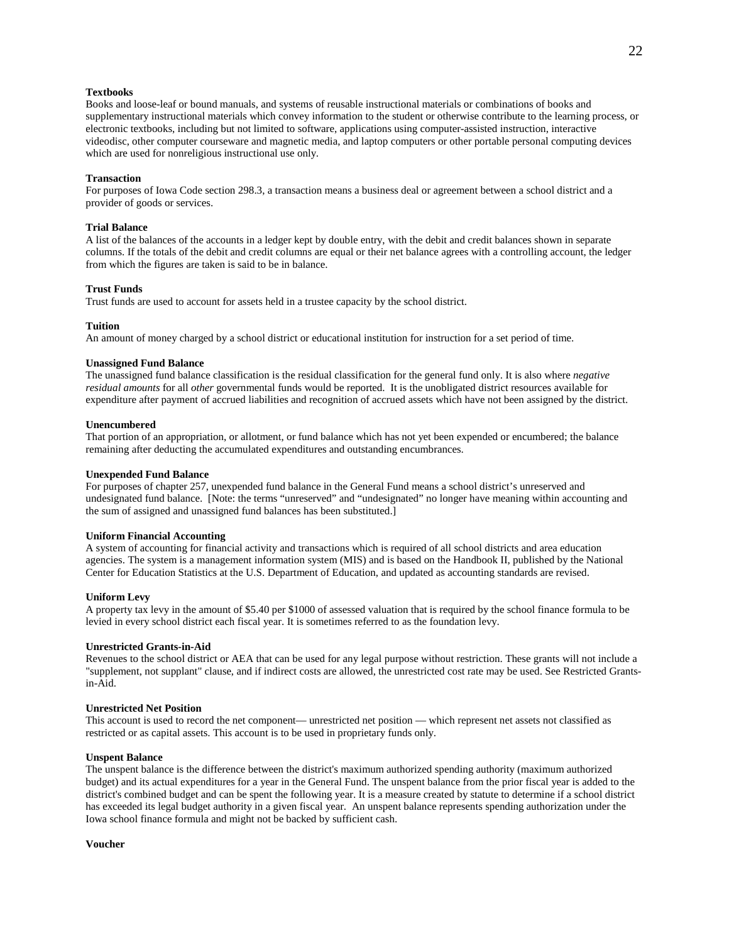# **Textbooks**

Books and loose-leaf or bound manuals, and systems of reusable instructional materials or combinations of books and supplementary instructional materials which convey information to the student or otherwise contribute to the learning process, or electronic textbooks, including but not limited to software, applications using computer-assisted instruction, interactive videodisc, other computer courseware and magnetic media, and laptop computers or other portable personal computing devices which are used for nonreligious instructional use only.

### **Transaction**

For purposes of Iowa Code section 298.3, a transaction means a business deal or agreement between a school district and a provider of goods or services.

## **Trial Balance**

A list of the balances of the accounts in a ledger kept by double entry, with the debit and credit balances shown in separate columns. If the totals of the debit and credit columns are equal or their net balance agrees with a controlling account, the ledger from which the figures are taken is said to be in balance.

## **Trust Funds**

Trust funds are used to account for assets held in a trustee capacity by the school district.

## **Tuition**

An amount of money charged by a school district or educational institution for instruction for a set period of time.

## **Unassigned Fund Balance**

The unassigned fund balance classification is the residual classification for the general fund only. It is also where *negative residual amounts* for all *other* governmental funds would be reported. It is the unobligated district resources available for expenditure after payment of accrued liabilities and recognition of accrued assets which have not been assigned by the district.

## **Unencumbered**

That portion of an appropriation, or allotment, or fund balance which has not yet been expended or encumbered; the balance remaining after deducting the accumulated expenditures and outstanding encumbrances.

#### **Unexpended Fund Balance**

For purposes of chapter 257, unexpended fund balance in the General Fund means a school district's unreserved and undesignated fund balance. [Note: the terms "unreserved" and "undesignated" no longer have meaning within accounting and the sum of assigned and unassigned fund balances has been substituted.]

## **Uniform Financial Accounting**

A system of accounting for financial activity and transactions which is required of all school districts and area education agencies. The system is a management information system (MIS) and is based on the Handbook II, published by the National Center for Education Statistics at the U.S. Department of Education, and updated as accounting standards are revised.

#### **Uniform Levy**

A property tax levy in the amount of \$5.40 per \$1000 of assessed valuation that is required by the school finance formula to be levied in every school district each fiscal year. It is sometimes referred to as the foundation levy.

## **Unrestricted Grants-in-Aid**

Revenues to the school district or AEA that can be used for any legal purpose without restriction. These grants will not include a "supplement, not supplant" clause, and if indirect costs are allowed, the unrestricted cost rate may be used. See Restricted Grantsin-Aid.

## **Unrestricted Net Position**

This account is used to record the net component— unrestricted net position — which represent net assets not classified as restricted or as capital assets. This account is to be used in proprietary funds only.

#### **Unspent Balance**

The unspent balance is the difference between the district's maximum authorized spending authority (maximum authorized budget) and its actual expenditures for a year in the General Fund. The unspent balance from the prior fiscal year is added to the district's combined budget and can be spent the following year. It is a measure created by statute to determine if a school district has exceeded its legal budget authority in a given fiscal year. An unspent balance represents spending authorization under the Iowa school finance formula and might not be backed by sufficient cash.

**Voucher**